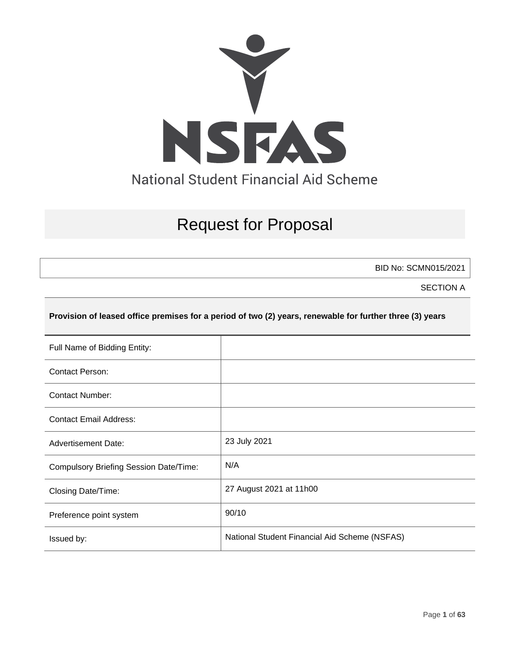

# Request for Proposal

BID No: SCMN015/2021

SECTION A

#### **Provision of leased office premises for a period of two (2) years, renewable for further three (3) years**

| Full Name of Bidding Entity:                  |                                               |
|-----------------------------------------------|-----------------------------------------------|
| <b>Contact Person:</b>                        |                                               |
| <b>Contact Number:</b>                        |                                               |
| <b>Contact Email Address:</b>                 |                                               |
| <b>Advertisement Date:</b>                    | 23 July 2021                                  |
| <b>Compulsory Briefing Session Date/Time:</b> | N/A                                           |
| Closing Date/Time:                            | 27 August 2021 at 11h00                       |
| Preference point system                       | 90/10                                         |
| Issued by:                                    | National Student Financial Aid Scheme (NSFAS) |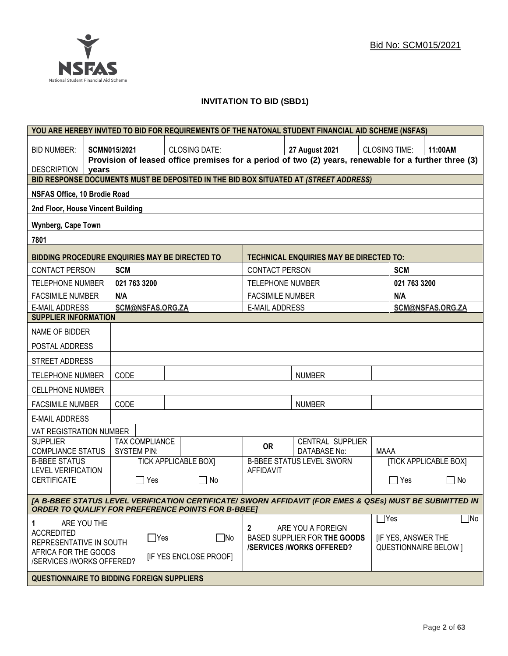## **INVITATION TO BID (SBD1)**

|                                                                                                                                                                      |                                            |                     |                       | YOU ARE HEREBY INVITED TO BID FOR REQUIREMENTS OF THE NATONAL STUDENT FINANCIAL AID SCHEME (NSFAS)   |                         |                                         |                              |              |                              |
|----------------------------------------------------------------------------------------------------------------------------------------------------------------------|--------------------------------------------|---------------------|-----------------------|------------------------------------------------------------------------------------------------------|-------------------------|-----------------------------------------|------------------------------|--------------|------------------------------|
| <b>BID NUMBER:</b>                                                                                                                                                   |                                            | <b>SCMN015/2021</b> |                       | <b>CLOSING DATE:</b>                                                                                 |                         | <b>27 August 2021</b>                   | <b>CLOSING TIME:</b>         |              | 11:00AM                      |
| <b>DESCRIPTION</b>                                                                                                                                                   | years                                      |                     |                       | Provision of leased office premises for a period of two (2) years, renewable for a further three (3) |                         |                                         |                              |              |                              |
|                                                                                                                                                                      |                                            |                     |                       | BID RESPONSE DOCUMENTS MUST BE DEPOSITED IN THE BID BOX SITUATED AT (STREET ADDRESS)                 |                         |                                         |                              |              |                              |
| NSFAS Office, 10 Brodie Road                                                                                                                                         |                                            |                     |                       |                                                                                                      |                         |                                         |                              |              |                              |
| 2nd Floor, House Vincent Building                                                                                                                                    |                                            |                     |                       |                                                                                                      |                         |                                         |                              |              |                              |
| Wynberg, Cape Town                                                                                                                                                   |                                            |                     |                       |                                                                                                      |                         |                                         |                              |              |                              |
| 7801                                                                                                                                                                 |                                            |                     |                       |                                                                                                      |                         |                                         |                              |              |                              |
| BIDDING PROCEDURE ENQUIRIES MAY BE DIRECTED TO                                                                                                                       |                                            |                     |                       |                                                                                                      |                         | TECHNICAL ENQUIRIES MAY BE DIRECTED TO: |                              |              |                              |
| <b>CONTACT PERSON</b>                                                                                                                                                |                                            | <b>SCM</b>          |                       |                                                                                                      | <b>CONTACT PERSON</b>   |                                         |                              | <b>SCM</b>   |                              |
| <b>TELEPHONE NUMBER</b>                                                                                                                                              |                                            | 021 763 3200        |                       |                                                                                                      | <b>TELEPHONE NUMBER</b> |                                         |                              | 021 763 3200 |                              |
| <b>FACSIMILE NUMBER</b>                                                                                                                                              |                                            | N/A                 |                       |                                                                                                      | <b>FACSIMILE NUMBER</b> |                                         |                              | N/A          |                              |
| <b>E-MAIL ADDRESS</b>                                                                                                                                                |                                            |                     | SCM@NSFAS.ORG.ZA      |                                                                                                      | <b>E-MAIL ADDRESS</b>   |                                         |                              |              | SCM@NSFAS.ORG.ZA             |
| <b>SUPPLIER INFORMATION</b>                                                                                                                                          |                                            |                     |                       |                                                                                                      |                         |                                         |                              |              |                              |
| NAME OF BIDDER                                                                                                                                                       |                                            |                     |                       |                                                                                                      |                         |                                         |                              |              |                              |
| POSTAL ADDRESS                                                                                                                                                       |                                            |                     |                       |                                                                                                      |                         |                                         |                              |              |                              |
| STREET ADDRESS                                                                                                                                                       |                                            |                     |                       |                                                                                                      |                         |                                         |                              |              |                              |
| <b>TELEPHONE NUMBER</b>                                                                                                                                              |                                            | CODE                |                       |                                                                                                      |                         | <b>NUMBER</b>                           |                              |              |                              |
| <b>CELLPHONE NUMBER</b>                                                                                                                                              |                                            |                     |                       |                                                                                                      |                         |                                         |                              |              |                              |
| <b>FACSIMILE NUMBER</b>                                                                                                                                              |                                            | CODE                |                       |                                                                                                      |                         | <b>NUMBER</b>                           |                              |              |                              |
| <b>E-MAIL ADDRESS</b>                                                                                                                                                |                                            |                     |                       |                                                                                                      |                         |                                         |                              |              |                              |
| VAT REGISTRATION NUMBER                                                                                                                                              |                                            |                     |                       |                                                                                                      |                         |                                         |                              |              |                              |
| <b>SUPPLIER</b><br><b>COMPLIANCE STATUS</b>                                                                                                                          |                                            | <b>SYSTEM PIN:</b>  | <b>TAX COMPLIANCE</b> |                                                                                                      | <b>OR</b>               | CENTRAL SUPPLIER<br><b>DATABASE No:</b> | <b>MAAA</b>                  |              |                              |
| <b>B-BBEE STATUS</b>                                                                                                                                                 |                                            |                     |                       | <b>TICK APPLICABLE BOXI</b>                                                                          |                         | <b>B-BBEE STATUS LEVEL SWORN</b>        |                              |              | <b>[TICK APPLICABLE BOX]</b> |
| <b>LEVEL VERIFICATION</b><br><b>CERTIFICATE</b>                                                                                                                      |                                            |                     | $\Box$ Yes            | $\Box$ No                                                                                            | <b>AFFIDAVIT</b>        |                                         |                              | $\Box$ Yes   | $\Box$ No                    |
| [A B-BBEE STATUS LEVEL VERIFICATION CERTIFICATE/ SWORN AFFIDAVIT (FOR EMES & QSEs) MUST BE SUBMITTED IN<br><b>ORDER TO QUALIFY FOR PREFERENCE POINTS FOR B-BBEET</b> |                                            |                     |                       |                                                                                                      |                         |                                         |                              |              |                              |
| 1                                                                                                                                                                    | ARE YOU THE                                |                     |                       |                                                                                                      |                         |                                         |                              | $\Box$ Yes   | $\Box$ No                    |
| <b>ACCREDITED</b>                                                                                                                                                    |                                            |                     |                       |                                                                                                      | $\mathbf{2}$            | ARE YOU A FOREIGN                       |                              |              |                              |
| $\Box$ Yes<br>REPRESENTATIVE IN SOUTH                                                                                                                                |                                            | $\Box$ No           |                       | BASED SUPPLIER FOR THE GOODS<br><b>/SERVICES/WORKS OFFERED?</b>                                      |                         | <b>IF YES, ANSWER THE</b>               | <b>QUESTIONNAIRE BELOW 1</b> |              |                              |
| AFRICA FOR THE GOODS<br><b>IF YES ENCLOSE PROOFI</b><br>/SERVICES /WORKS OFFERED?                                                                                    |                                            |                     |                       |                                                                                                      |                         |                                         |                              |              |                              |
|                                                                                                                                                                      | QUESTIONNAIRE TO BIDDING FOREIGN SUPPLIERS |                     |                       |                                                                                                      |                         |                                         |                              |              |                              |
|                                                                                                                                                                      |                                            |                     |                       |                                                                                                      |                         |                                         |                              |              |                              |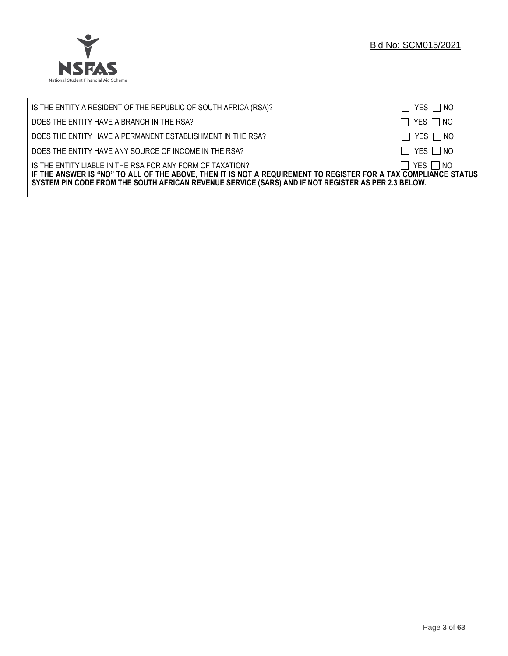

| IS THE ENTITY A RESIDENT OF THE REPUBLIC OF SOUTH AFRICA (RSA)?                                                                                                                                                                                                                     | $\Box$ YES $\Box$ NO |
|-------------------------------------------------------------------------------------------------------------------------------------------------------------------------------------------------------------------------------------------------------------------------------------|----------------------|
| DOES THE ENTITY HAVE A BRANCH IN THE RSA?                                                                                                                                                                                                                                           | $\Box$ YES $\Box$ NO |
| DOES THE ENTITY HAVE A PERMANENT ESTABLISHMENT IN THE RSA?                                                                                                                                                                                                                          | $\Box$ YES $\Box$ NO |
| DOES THE ENTITY HAVE ANY SOURCE OF INCOME IN THE RSA?                                                                                                                                                                                                                               | $\Box$ YES $\Box$ NO |
| IS THE ENTITY LIABLE IN THE RSA FOR ANY FORM OF TAXATION?<br>IF THE ANSWER IS "NO" TO ALL OF THE ABOVE, THEN IT IS NOT A REQUIREMENT TO REGISTER FOR A TAX COMPLIANCE STATUS<br>SYSTEM PIN CODE FROM THE SOUTH AFRICAN REVENUE SERVICE (SARS) AND IF NOT REGISTER AS PER 2.3 BELOW. | $\Box$ YES $\Box$ NO |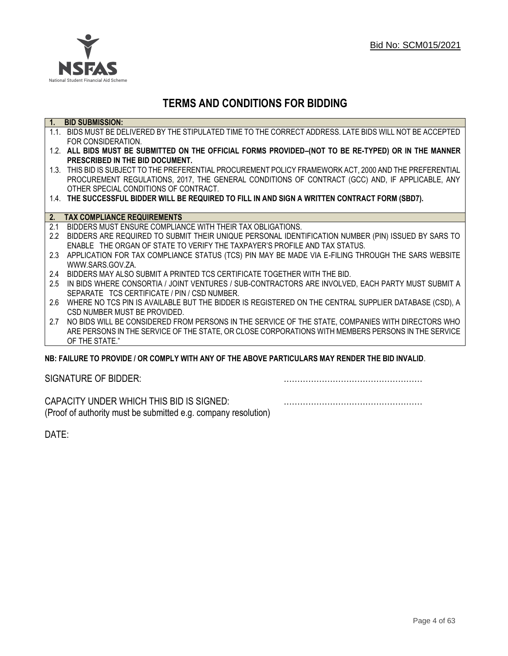

## **TERMS AND CONDITIONS FOR BIDDING**

| 1.               | <b>BID SUBMISSION:</b>                                                                                    |
|------------------|-----------------------------------------------------------------------------------------------------------|
|                  | 1.1. BIDS MUST BE DELIVERED BY THE STIPULATED TIME TO THE CORRECT ADDRESS. LATE BIDS WILL NOT BE ACCEPTED |
|                  | FOR CONSIDERATION.                                                                                        |
|                  | 1.2. ALL BIDS MUST BE SUBMITTED ON THE OFFICIAL FORMS PROVIDED-(NOT TO BE RE-TYPED) OR IN THE MANNER      |
|                  | PRESCRIBED IN THE BID DOCUMENT.                                                                           |
|                  | 1.3. THIS BID IS SUBJECT TO THE PREFERENTIAL PROCUREMENT POLICY FRAMEWORK ACT, 2000 AND THE PREFERENTIAL  |
|                  | PROCUREMENT REGULATIONS, 2017, THE GENERAL CONDITIONS OF CONTRACT (GCC) AND, IF APPLICABLE, ANY           |
|                  | OTHER SPECIAL CONDITIONS OF CONTRACT.                                                                     |
|                  | 1.4. THE SUCCESSFUL BIDDER WILL BE REQUIRED TO FILL IN AND SIGN A WRITTEN CONTRACT FORM (SBD7).           |
|                  |                                                                                                           |
| 2.               | <b>TAX COMPLIANCE REQUIREMENTS</b>                                                                        |
| 2.1              | BIDDERS MUST ENSURE COMPLIANCE WITH THEIR TAX OBLIGATIONS.                                                |
| $2.2\phantom{0}$ | BIDDERS ARE REQUIRED TO SUBMIT THEIR UNIQUE PERSONAL IDENTIFICATION NUMBER (PIN) ISSUED BY SARS TO        |
|                  | ENABLE THE ORGAN OF STATE TO VERIFY THE TAXPAYER'S PROFILE AND TAX STATUS.                                |
| 2.3              | APPLICATION FOR TAX COMPLIANCE STATUS (TCS) PIN MAY BE MADE VIA E-FILING THROUGH THE SARS WEBSITE         |
|                  | WWW.SARS.GOV.ZA.                                                                                          |
| 2.4              | BIDDERS MAY ALSO SUBMIT A PRINTED TCS CERTIFICATE TOGETHER WITH THE BID.                                  |
| 2.5              | IN BIDS WHERE CONSORTIA / JOINT VENTURES / SUB-CONTRACTORS ARE INVOLVED, EACH PARTY MUST SUBMIT A         |
|                  | SEPARATE TCS CERTIFICATE / PIN / CSD NUMBER.                                                              |
| 2.6              | WHERE NO TCS PIN IS AVAILABLE BUT THE BIDDER IS REGISTERED ON THE CENTRAL SUPPLIER DATABASE (CSD), A      |
|                  | CSD NUMBER MUST BE PROVIDED.                                                                              |
| 2.7              | NO BIDS WILL BE CONSIDERED FROM PERSONS IN THE SERVICE OF THE STATE, COMPANIES WITH DIRECTORS WHO         |
|                  | ARE PERSONS IN THE SERVICE OF THE STATE, OR CLOSE CORPORATIONS WITH MEMBERS PERSONS IN THE SERVICE        |
|                  | OF THE STATE."                                                                                            |

## **NB: FAILURE TO PROVIDE / OR COMPLY WITH ANY OF THE ABOVE PARTICULARS MAY RENDER THE BID INVALID**.

| SIGNATURE OF BIDDER: |  |
|----------------------|--|
|                      |  |

CAPACITY UNDER WHICH THIS BID IS SIGNED: …………………………………………… (Proof of authority must be submitted e.g. company resolution)

DATE: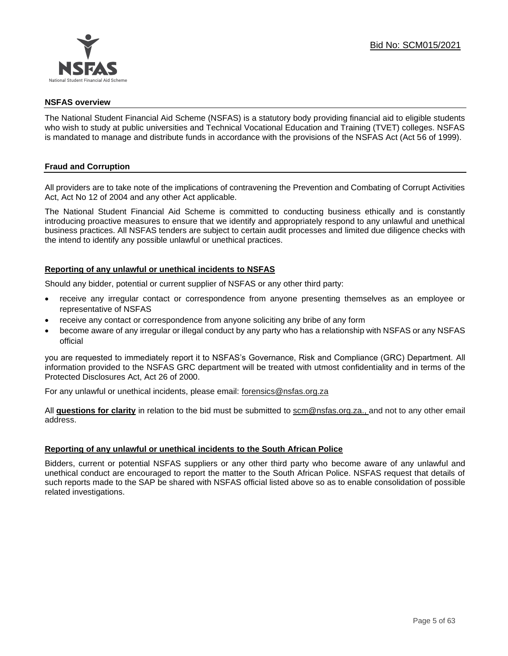

#### **NSFAS overview**

The National Student Financial Aid Scheme (NSFAS) is a statutory body providing financial aid to eligible students who wish to study at public universities and Technical Vocational Education and Training (TVET) colleges. NSFAS is mandated to manage and distribute funds in accordance with the provisions of the NSFAS Act (Act 56 of 1999).

## **Fraud and Corruption**

All providers are to take note of the implications of contravening the Prevention and Combating of Corrupt Activities Act, Act No 12 of 2004 and any other Act applicable.

The National Student Financial Aid Scheme is committed to conducting business ethically and is constantly introducing proactive measures to ensure that we identify and appropriately respond to any unlawful and unethical business practices. All NSFAS tenders are subject to certain audit processes and limited due diligence checks with the intend to identify any possible unlawful or unethical practices.

#### **Reporting of any unlawful or unethical incidents to NSFAS**

Should any bidder, potential or current supplier of NSFAS or any other third party:

- receive any irregular contact or correspondence from anyone presenting themselves as an employee or representative of NSFAS
- receive any contact or correspondence from anyone soliciting any bribe of any form
- become aware of any irregular or illegal conduct by any party who has a relationship with NSFAS or any NSFAS official

you are requested to immediately report it to NSFAS's Governance, Risk and Compliance (GRC) Department. All information provided to the NSFAS GRC department will be treated with utmost confidentiality and in terms of the Protected Disclosures Act, Act 26 of 2000.

For any unlawful or unethical incidents, please email: [forensics@nsfas.org.za](mailto:forensics@nsfas.org.za)

All **questions for clarity** in relation to the bid must be submitted to [scm@nsfas.org.za.](mailto:scm@nsfas.org.za), and not to any other email address.

#### **Reporting of any unlawful or unethical incidents to the South African Police**

Bidders, current or potential NSFAS suppliers or any other third party who become aware of any unlawful and unethical conduct are encouraged to report the matter to the South African Police. NSFAS request that details of such reports made to the SAP be shared with NSFAS official listed above so as to enable consolidation of possible related investigations.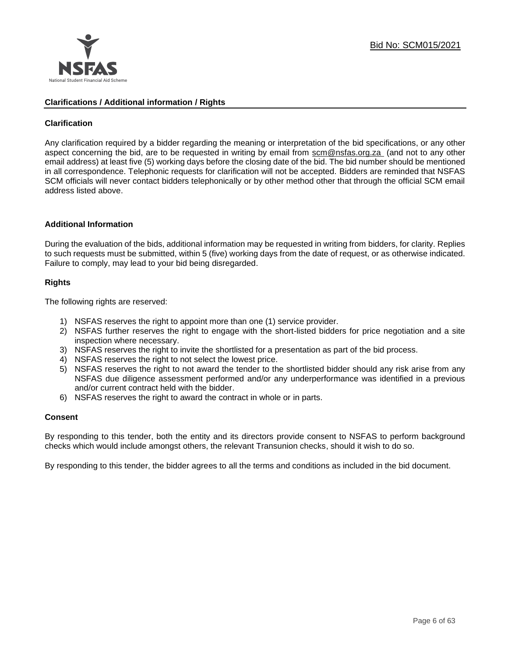

## **Clarifications / Additional information / Rights**

## **Clarification**

Any clarification required by a bidder regarding the meaning or interpretation of the bid specifications, or any other aspect concerning the bid, are to be requested in writing by email from [scm@nsfas.org.za](mailto:scm@nsfas.org.za) (and not to any other email address) at least five (5) working days before the closing date of the bid. The bid number should be mentioned in all correspondence. Telephonic requests for clarification will not be accepted. Bidders are reminded that NSFAS SCM officials will never contact bidders telephonically or by other method other that through the official SCM email address listed above.

#### **Additional Information**

During the evaluation of the bids, additional information may be requested in writing from bidders, for clarity. Replies to such requests must be submitted, within 5 (five) working days from the date of request, or as otherwise indicated. Failure to comply, may lead to your bid being disregarded.

#### **Rights**

The following rights are reserved:

- 1) NSFAS reserves the right to appoint more than one (1) service provider.
- 2) NSFAS further reserves the right to engage with the short-listed bidders for price negotiation and a site inspection where necessary.
- 3) NSFAS reserves the right to invite the shortlisted for a presentation as part of the bid process.
- 4) NSFAS reserves the right to not select the lowest price.
- 5) NSFAS reserves the right to not award the tender to the shortlisted bidder should any risk arise from any NSFAS due diligence assessment performed and/or any underperformance was identified in a previous and/or current contract held with the bidder.
- 6) NSFAS reserves the right to award the contract in whole or in parts.

#### **Consent**

By responding to this tender, both the entity and its directors provide consent to NSFAS to perform background checks which would include amongst others, the relevant Transunion checks, should it wish to do so.

By responding to this tender, the bidder agrees to all the terms and conditions as included in the bid document.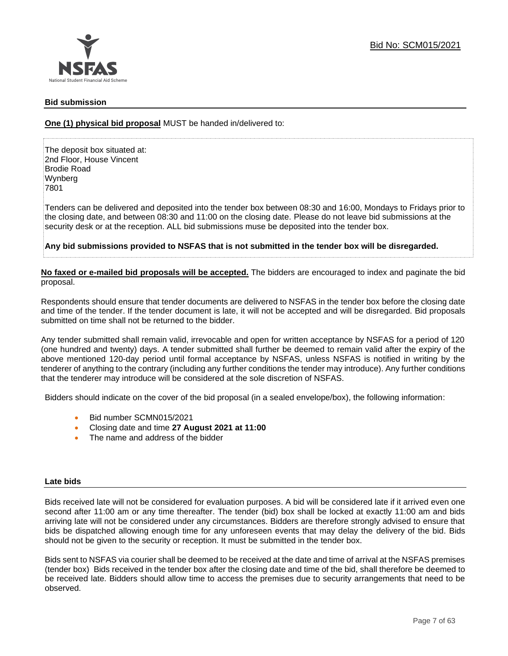

#### **Bid submission**

**One (1) physical bid proposal** MUST be handed in/delivered to:

The deposit box situated at: 2nd Floor, House Vincent Brodie Road Wynberg 7801

Tenders can be delivered and deposited into the tender box between 08:30 and 16:00, Mondays to Fridays prior to the closing date, and between 08:30 and 11:00 on the closing date. Please do not leave bid submissions at the security desk or at the reception. ALL bid submissions muse be deposited into the tender box.

**Any bid submissions provided to NSFAS that is not submitted in the tender box will be disregarded.**

**No faxed or e-mailed bid proposals will be accepted.** The bidders are encouraged to index and paginate the bid proposal.

Respondents should ensure that tender documents are delivered to NSFAS in the tender box before the closing date and time of the tender. If the tender document is late, it will not be accepted and will be disregarded. Bid proposals submitted on time shall not be returned to the bidder.

Any tender submitted shall remain valid, irrevocable and open for written acceptance by NSFAS for a period of 120 (one hundred and twenty) days. A tender submitted shall further be deemed to remain valid after the expiry of the above mentioned 120-day period until formal acceptance by NSFAS, unless NSFAS is notified in writing by the tenderer of anything to the contrary (including any further conditions the tender may introduce). Any further conditions that the tenderer may introduce will be considered at the sole discretion of NSFAS.

Bidders should indicate on the cover of the bid proposal (in a sealed envelope/box), the following information:

- Bid number SCMN015/2021
- Closing date and time **27 August 2021 at 11:00**
- The name and address of the bidder

#### **Late bids**

Bids received late will not be considered for evaluation purposes. A bid will be considered late if it arrived even one second after 11:00 am or any time thereafter. The tender (bid) box shall be locked at exactly 11:00 am and bids arriving late will not be considered under any circumstances. Bidders are therefore strongly advised to ensure that bids be dispatched allowing enough time for any unforeseen events that may delay the delivery of the bid. Bids should not be given to the security or reception. It must be submitted in the tender box.

Bids sent to NSFAS via courier shall be deemed to be received at the date and time of arrival at the NSFAS premises (tender box) Bids received in the tender box after the closing date and time of the bid, shall therefore be deemed to be received late. Bidders should allow time to access the premises due to security arrangements that need to be observed.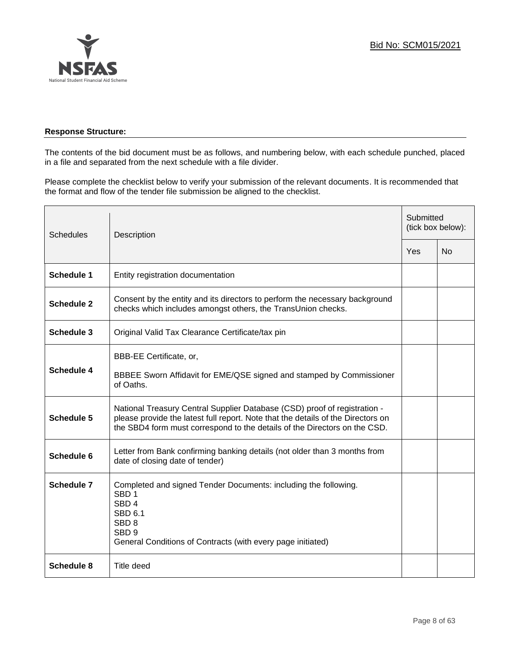

## **Response Structure:**

The contents of the bid document must be as follows, and numbering below, with each schedule punched, placed in a file and separated from the next schedule with a file divider.

Please complete the checklist below to verify your submission of the relevant documents. It is recommended that the format and flow of the tender file submission be aligned to the checklist.

| <b>Schedules</b>  | Description                                                                                                                                                                                                                                |  | Submitted<br>(tick box below): |  |
|-------------------|--------------------------------------------------------------------------------------------------------------------------------------------------------------------------------------------------------------------------------------------|--|--------------------------------|--|
|                   |                                                                                                                                                                                                                                            |  | No                             |  |
| <b>Schedule 1</b> | Entity registration documentation                                                                                                                                                                                                          |  |                                |  |
| <b>Schedule 2</b> | Consent by the entity and its directors to perform the necessary background<br>checks which includes amongst others, the TransUnion checks.                                                                                                |  |                                |  |
| <b>Schedule 3</b> | Original Valid Tax Clearance Certificate/tax pin                                                                                                                                                                                           |  |                                |  |
| <b>Schedule 4</b> | BBB-EE Certificate, or,<br>BBBEE Sworn Affidavit for EME/QSE signed and stamped by Commissioner<br>of Oaths.                                                                                                                               |  |                                |  |
| <b>Schedule 5</b> | National Treasury Central Supplier Database (CSD) proof of registration -<br>please provide the latest full report. Note that the details of the Directors on<br>the SBD4 form must correspond to the details of the Directors on the CSD. |  |                                |  |
| Schedule 6        | Letter from Bank confirming banking details (not older than 3 months from<br>date of closing date of tender)                                                                                                                               |  |                                |  |
| Schedule 7        | Completed and signed Tender Documents: including the following.<br>SBD <sub>1</sub><br>SBD <sub>4</sub><br><b>SBD 6.1</b><br>SBD <sub>8</sub><br>SBD <sub>9</sub><br>General Conditions of Contracts (with every page initiated)           |  |                                |  |
| Schedule 8        | Title deed                                                                                                                                                                                                                                 |  |                                |  |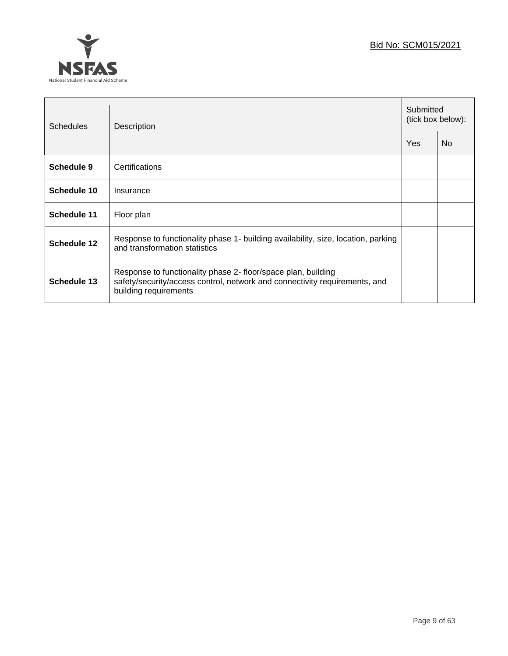

| <b>Schedules</b>   | Description                                                                                                                                                          |  | Submitted<br>(tick box below): |  |
|--------------------|----------------------------------------------------------------------------------------------------------------------------------------------------------------------|--|--------------------------------|--|
|                    |                                                                                                                                                                      |  | N <sub>0</sub>                 |  |
| Schedule 9         | Certifications                                                                                                                                                       |  |                                |  |
| Schedule 10        | Insurance                                                                                                                                                            |  |                                |  |
| <b>Schedule 11</b> | Floor plan                                                                                                                                                           |  |                                |  |
| Schedule 12        | Response to functionality phase 1- building availability, size, location, parking<br>and transformation statistics                                                   |  |                                |  |
| Schedule 13        | Response to functionality phase 2- floor/space plan, building<br>safety/security/access control, network and connectivity requirements, and<br>building requirements |  |                                |  |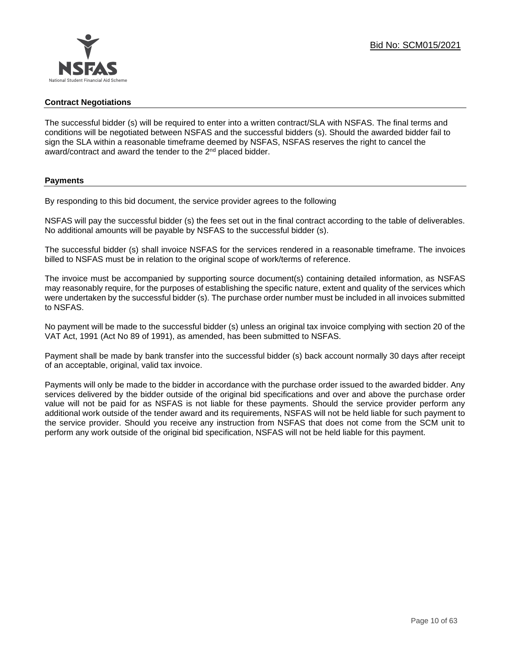

#### **Contract Negotiations**

The successful bidder (s) will be required to enter into a written contract/SLA with NSFAS. The final terms and conditions will be negotiated between NSFAS and the successful bidders (s). Should the awarded bidder fail to sign the SLA within a reasonable timeframe deemed by NSFAS, NSFAS reserves the right to cancel the award/contract and award the tender to the 2<sup>nd</sup> placed bidder.

#### **Payments**

By responding to this bid document, the service provider agrees to the following

NSFAS will pay the successful bidder (s) the fees set out in the final contract according to the table of deliverables. No additional amounts will be payable by NSFAS to the successful bidder (s).

The successful bidder (s) shall invoice NSFAS for the services rendered in a reasonable timeframe. The invoices billed to NSFAS must be in relation to the original scope of work/terms of reference.

The invoice must be accompanied by supporting source document(s) containing detailed information, as NSFAS may reasonably require, for the purposes of establishing the specific nature, extent and quality of the services which were undertaken by the successful bidder (s). The purchase order number must be included in all invoices submitted to NSFAS.

No payment will be made to the successful bidder (s) unless an original tax invoice complying with section 20 of the VAT Act, 1991 (Act No 89 of 1991), as amended, has been submitted to NSFAS.

Payment shall be made by bank transfer into the successful bidder (s) back account normally 30 days after receipt of an acceptable, original, valid tax invoice.

Payments will only be made to the bidder in accordance with the purchase order issued to the awarded bidder. Any services delivered by the bidder outside of the original bid specifications and over and above the purchase order value will not be paid for as NSFAS is not liable for these payments. Should the service provider perform any additional work outside of the tender award and its requirements, NSFAS will not be held liable for such payment to the service provider. Should you receive any instruction from NSFAS that does not come from the SCM unit to perform any work outside of the original bid specification, NSFAS will not be held liable for this payment.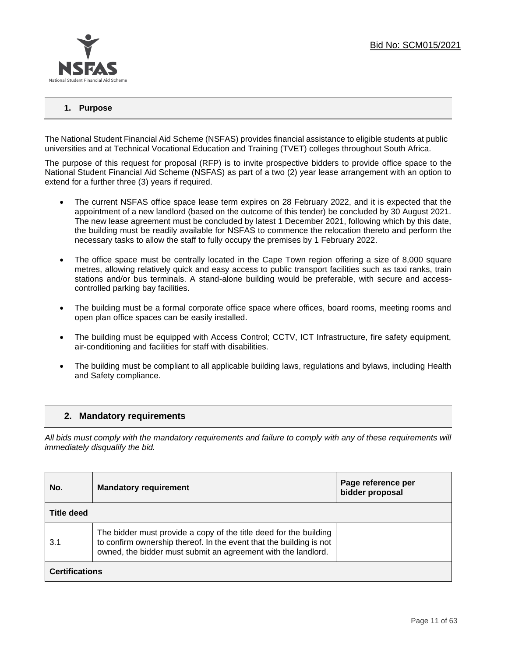

## **1. Purpose**

The National Student Financial Aid Scheme (NSFAS) provides financial assistance to eligible students at public universities and at Technical Vocational Education and Training (TVET) colleges throughout South Africa.

The purpose of this request for proposal (RFP) is to invite prospective bidders to provide office space to the National Student Financial Aid Scheme (NSFAS) as part of a two (2) year lease arrangement with an option to extend for a further three (3) years if required.

- The current NSFAS office space lease term expires on 28 February 2022, and it is expected that the appointment of a new landlord (based on the outcome of this tender) be concluded by 30 August 2021. The new lease agreement must be concluded by latest 1 December 2021, following which by this date, the building must be readily available for NSFAS to commence the relocation thereto and perform the necessary tasks to allow the staff to fully occupy the premises by 1 February 2022.
- The office space must be centrally located in the Cape Town region offering a size of 8,000 square metres, allowing relatively quick and easy access to public transport facilities such as taxi ranks, train stations and/or bus terminals. A stand-alone building would be preferable, with secure and accesscontrolled parking bay facilities.
- The building must be a formal corporate office space where offices, board rooms, meeting rooms and open plan office spaces can be easily installed.
- The building must be equipped with Access Control; CCTV, ICT Infrastructure, fire safety equipment, air-conditioning and facilities for staff with disabilities.
- The building must be compliant to all applicable building laws, regulations and bylaws, including Health and Safety compliance.

## **2. Mandatory requirements**

*All bids must comply with the mandatory requirements and failure to comply with any of these requirements will immediately disqualify the bid.*

| No.                   | <b>Mandatory requirement</b>                                                                                                                                                                              | Page reference per<br>bidder proposal |  |  |
|-----------------------|-----------------------------------------------------------------------------------------------------------------------------------------------------------------------------------------------------------|---------------------------------------|--|--|
| <b>Title deed</b>     |                                                                                                                                                                                                           |                                       |  |  |
| 3.1                   | The bidder must provide a copy of the title deed for the building<br>to confirm ownership thereof. In the event that the building is not<br>owned, the bidder must submit an agreement with the landlord. |                                       |  |  |
| <b>Certifications</b> |                                                                                                                                                                                                           |                                       |  |  |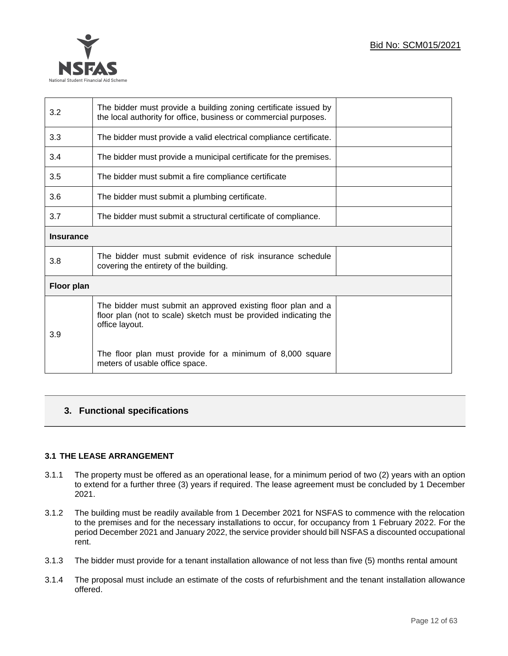| 3.2               | The bidder must provide a building zoning certificate issued by<br>the local authority for office, business or commercial purposes.                |  |
|-------------------|----------------------------------------------------------------------------------------------------------------------------------------------------|--|
| 3.3               | The bidder must provide a valid electrical compliance certificate.                                                                                 |  |
| 3.4               | The bidder must provide a municipal certificate for the premises.                                                                                  |  |
| 3.5               | The bidder must submit a fire compliance certificate                                                                                               |  |
| 3.6               | The bidder must submit a plumbing certificate.                                                                                                     |  |
| 3.7               | The bidder must submit a structural certificate of compliance.                                                                                     |  |
| <b>Insurance</b>  |                                                                                                                                                    |  |
| 3.8               | The bidder must submit evidence of risk insurance schedule<br>covering the entirety of the building.                                               |  |
| <b>Floor plan</b> |                                                                                                                                                    |  |
| 3.9               | The bidder must submit an approved existing floor plan and a<br>floor plan (not to scale) sketch must be provided indicating the<br>office layout. |  |
|                   | The floor plan must provide for a minimum of 8,000 square<br>meters of usable office space.                                                        |  |

## **3. Functional specifications**

#### **3.1 THE LEASE ARRANGEMENT**

- 3.1.1 The property must be offered as an operational lease, for a minimum period of two (2) years with an option to extend for a further three (3) years if required. The lease agreement must be concluded by 1 December 2021.
- 3.1.2 The building must be readily available from 1 December 2021 for NSFAS to commence with the relocation to the premises and for the necessary installations to occur, for occupancy from 1 February 2022. For the period December 2021 and January 2022, the service provider should bill NSFAS a discounted occupational rent.
- 3.1.3 The bidder must provide for a tenant installation allowance of not less than five (5) months rental amount
- 3.1.4 The proposal must include an estimate of the costs of refurbishment and the tenant installation allowance offered.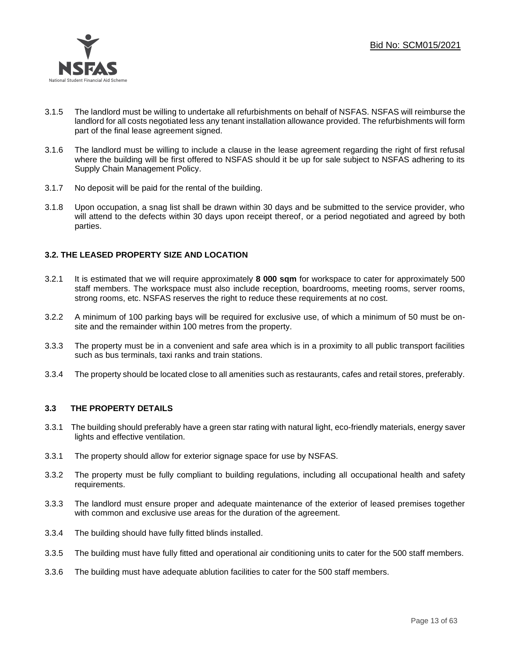

- 3.1.5 The landlord must be willing to undertake all refurbishments on behalf of NSFAS. NSFAS will reimburse the landlord for all costs negotiated less any tenant installation allowance provided. The refurbishments will form part of the final lease agreement signed.
- 3.1.6 The landlord must be willing to include a clause in the lease agreement regarding the right of first refusal where the building will be first offered to NSFAS should it be up for sale subject to NSFAS adhering to its Supply Chain Management Policy.
- 3.1.7 No deposit will be paid for the rental of the building.
- 3.1.8 Upon occupation, a snag list shall be drawn within 30 days and be submitted to the service provider, who will attend to the defects within 30 days upon receipt thereof, or a period negotiated and agreed by both parties.

## **3.2. THE LEASED PROPERTY SIZE AND LOCATION**

- 3.2.1 It is estimated that we will require approximately **8 000 sqm** for workspace to cater for approximately 500 staff members. The workspace must also include reception, boardrooms, meeting rooms, server rooms, strong rooms, etc. NSFAS reserves the right to reduce these requirements at no cost.
- 3.2.2 A minimum of 100 parking bays will be required for exclusive use, of which a minimum of 50 must be onsite and the remainder within 100 metres from the property.
- 3.3.3 The property must be in a convenient and safe area which is in a proximity to all public transport facilities such as bus terminals, taxi ranks and train stations.
- 3.3.4 The property should be located close to all amenities such as restaurants, cafes and retail stores, preferably.

#### **3.3 THE PROPERTY DETAILS**

- 3.3.1 The building should preferably have a green star rating with natural light, eco-friendly materials, energy saver lights and effective ventilation.
- 3.3.1 The property should allow for exterior signage space for use by NSFAS.
- 3.3.2 The property must be fully compliant to building regulations, including all occupational health and safety requirements.
- 3.3.3 The landlord must ensure proper and adequate maintenance of the exterior of leased premises together with common and exclusive use areas for the duration of the agreement.
- 3.3.4 The building should have fully fitted blinds installed.
- 3.3.5 The building must have fully fitted and operational air conditioning units to cater for the 500 staff members.
- 3.3.6 The building must have adequate ablution facilities to cater for the 500 staff members.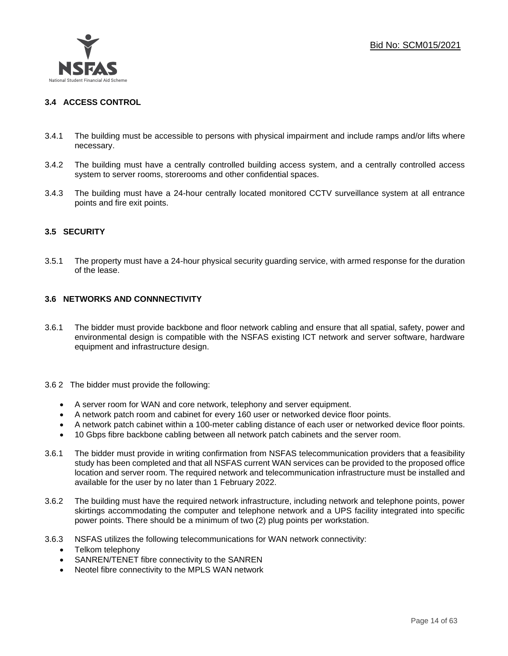

## **3.4 ACCESS CONTROL**

- 3.4.1 The building must be accessible to persons with physical impairment and include ramps and/or lifts where necessary.
- 3.4.2 The building must have a centrally controlled building access system, and a centrally controlled access system to server rooms, storerooms and other confidential spaces.
- 3.4.3 The building must have a 24-hour centrally located monitored CCTV surveillance system at all entrance points and fire exit points.

## **3.5 SECURITY**

3.5.1 The property must have a 24-hour physical security guarding service, with armed response for the duration of the lease.

### **3.6 NETWORKS AND CONNNECTIVITY**

- 3.6.1 The bidder must provide backbone and floor network cabling and ensure that all spatial, safety, power and environmental design is compatible with the NSFAS existing ICT network and server software, hardware equipment and infrastructure design.
- 3.6 2 The bidder must provide the following:
	- A server room for WAN and core network, telephony and server equipment.
	- A network patch room and cabinet for every 160 user or networked device floor points.
	- A network patch cabinet within a 100-meter cabling distance of each user or networked device floor points.
	- 10 Gbps fibre backbone cabling between all network patch cabinets and the server room.
- 3.6.1 The bidder must provide in writing confirmation from NSFAS telecommunication providers that a feasibility study has been completed and that all NSFAS current WAN services can be provided to the proposed office location and server room. The required network and telecommunication infrastructure must be installed and available for the user by no later than 1 February 2022.
- 3.6.2 The building must have the required network infrastructure, including network and telephone points, power skirtings accommodating the computer and telephone network and a UPS facility integrated into specific power points. There should be a minimum of two (2) plug points per workstation.
- 3.6.3 NSFAS utilizes the following telecommunications for WAN network connectivity:
	- Telkom telephony
	- SANREN/TENET fibre connectivity to the SANREN
	- Neotel fibre connectivity to the MPLS WAN network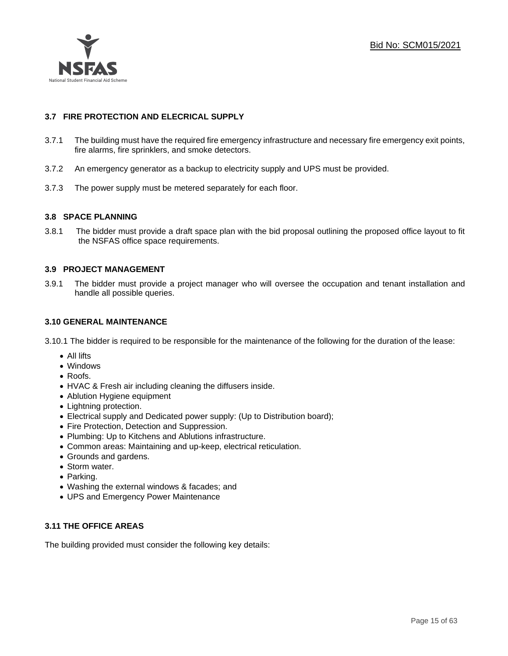

## **3.7 FIRE PROTECTION AND ELECRICAL SUPPLY**

- 3.7.1 The building must have the required fire emergency infrastructure and necessary fire emergency exit points, fire alarms, fire sprinklers, and smoke detectors.
- 3.7.2 An emergency generator as a backup to electricity supply and UPS must be provided.
- 3.7.3 The power supply must be metered separately for each floor.

## **3.8 SPACE PLANNING**

3.8.1 The bidder must provide a draft space plan with the bid proposal outlining the proposed office layout to fit the NSFAS office space requirements.

## **3.9 PROJECT MANAGEMENT**

3.9.1 The bidder must provide a project manager who will oversee the occupation and tenant installation and handle all possible queries.

## **3.10 GENERAL MAINTENANCE**

- 3.10.1 The bidder is required to be responsible for the maintenance of the following for the duration of the lease:
	- All lifts
	- Windows
	- Roofs.
	- HVAC & Fresh air including cleaning the diffusers inside.
	- Ablution Hygiene equipment
	- Lightning protection.
	- Electrical supply and Dedicated power supply: (Up to Distribution board);
	- Fire Protection, Detection and Suppression.
	- Plumbing: Up to Kitchens and Ablutions infrastructure.
	- Common areas: Maintaining and up-keep, electrical reticulation.
	- Grounds and gardens.
	- Storm water.
	- Parking.
	- Washing the external windows & facades; and
	- UPS and Emergency Power Maintenance

## **3.11 THE OFFICE AREAS**

The building provided must consider the following key details: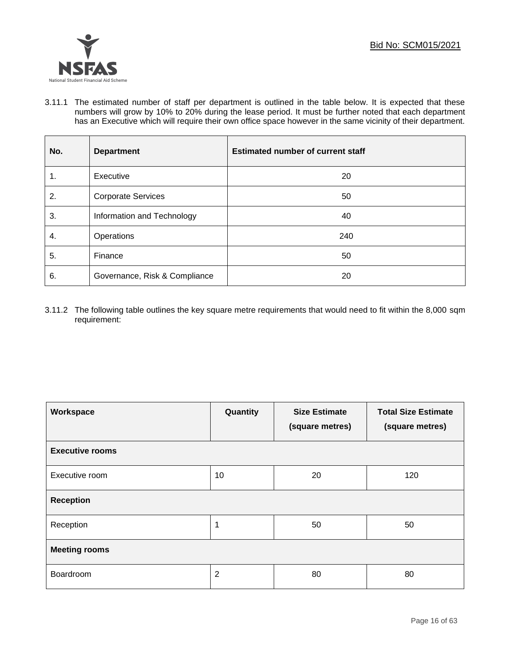

3.11.1 The estimated number of staff per department is outlined in the table below. It is expected that these numbers will grow by 10% to 20% during the lease period. It must be further noted that each department has an Executive which will require their own office space however in the same vicinity of their department.

| No. | <b>Department</b>             | <b>Estimated number of current staff</b> |
|-----|-------------------------------|------------------------------------------|
| 1.  | Executive                     | 20                                       |
| 2.  | <b>Corporate Services</b>     | 50                                       |
| 3.  | Information and Technology    | 40                                       |
| 4.  | Operations                    | 240                                      |
| 5.  | Finance                       | 50                                       |
| 6.  | Governance, Risk & Compliance | 20                                       |

3.11.2 The following table outlines the key square metre requirements that would need to fit within the 8,000 sqm requirement:

| Workspace              | Quantity       | <b>Size Estimate</b><br>(square metres) | <b>Total Size Estimate</b><br>(square metres) |  |  |  |
|------------------------|----------------|-----------------------------------------|-----------------------------------------------|--|--|--|
| <b>Executive rooms</b> |                |                                         |                                               |  |  |  |
| Executive room         | 10             | 20                                      | 120                                           |  |  |  |
| <b>Reception</b>       |                |                                         |                                               |  |  |  |
| Reception              | 1              | 50                                      | 50                                            |  |  |  |
| <b>Meeting rooms</b>   |                |                                         |                                               |  |  |  |
| Boardroom              | $\overline{2}$ | 80                                      | 80                                            |  |  |  |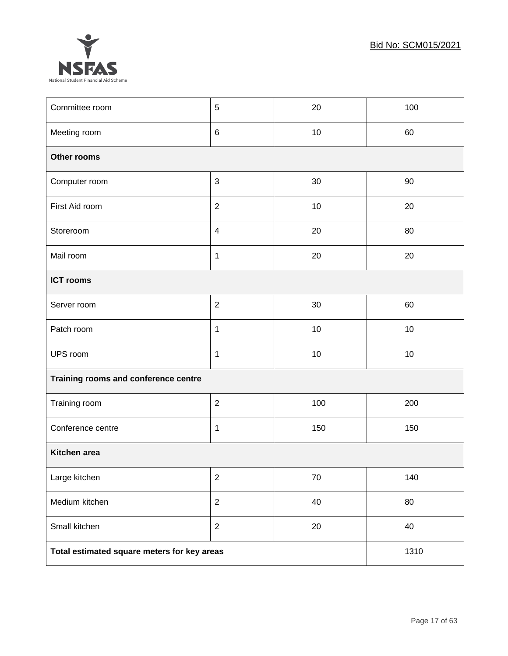

| Committee room                              | 5              | 20     | 100 |  |  |
|---------------------------------------------|----------------|--------|-----|--|--|
| Meeting room                                | $\,6$          | 10     | 60  |  |  |
| Other rooms                                 |                |        |     |  |  |
| Computer room                               | 3              | 30     | 90  |  |  |
| First Aid room                              | $\overline{2}$ | 10     | 20  |  |  |
| Storeroom                                   | $\overline{4}$ | 20     | 80  |  |  |
| Mail room                                   | $\mathbf 1$    | 20     | 20  |  |  |
| <b>ICT rooms</b>                            |                |        |     |  |  |
| Server room                                 | $\overline{2}$ | 30     | 60  |  |  |
| Patch room                                  | $\mathbf{1}$   | 10     | 10  |  |  |
| UPS room                                    | $\mathbf 1$    | 10     | 10  |  |  |
| Training rooms and conference centre        |                |        |     |  |  |
| Training room                               | $\overline{2}$ | 100    | 200 |  |  |
| Conference centre                           | $\mathbf 1$    | 150    | 150 |  |  |
| Kitchen area                                |                |        |     |  |  |
| Large kitchen                               | $\sqrt{2}$     | $70\,$ | 140 |  |  |
| Medium kitchen                              | $\overline{2}$ | 40     | 80  |  |  |
| Small kitchen                               | $\overline{2}$ | 20     | 40  |  |  |
| Total estimated square meters for key areas | 1310           |        |     |  |  |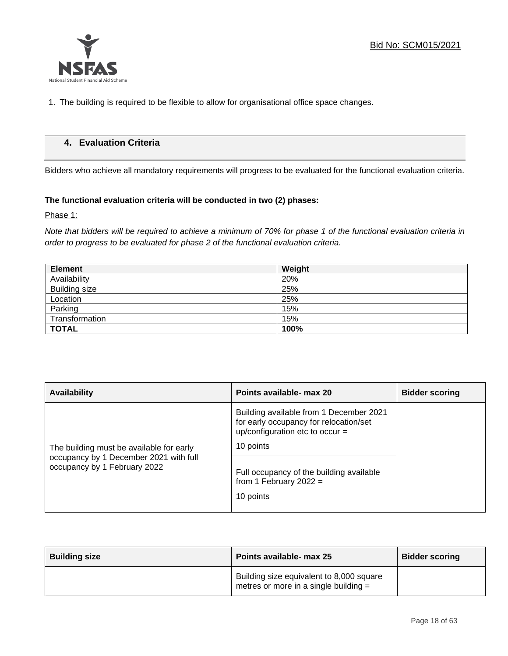

1. The building is required to be flexible to allow for organisational office space changes.

## **4. Evaluation Criteria**

Bidders who achieve all mandatory requirements will progress to be evaluated for the functional evaluation criteria.

## **The functional evaluation criteria will be conducted in two (2) phases:**

Phase 1:

*Note that bidders will be required to achieve a minimum of 70% for phase 1 of the functional evaluation criteria in order to progress to be evaluated for phase 2 of the functional evaluation criteria.*

| <b>Element</b> | Weight |
|----------------|--------|
| Availability   | 20%    |
| Building size  | 25%    |
| Location       | 25%    |
| Parking        | 15%    |
| Transformation | 15%    |
| <b>TOTAL</b>   | 100%   |

| <b>Availability</b>                                                    | Points available- max 20                                                                                             | <b>Bidder scoring</b> |
|------------------------------------------------------------------------|----------------------------------------------------------------------------------------------------------------------|-----------------------|
|                                                                        | Building available from 1 December 2021<br>for early occupancy for relocation/set<br>up/configuration etc to occur = |                       |
| The building must be available for early                               | 10 points                                                                                                            |                       |
| occupancy by 1 December 2021 with full<br>occupancy by 1 February 2022 | Full occupancy of the building available<br>from 1 February 2022 =<br>10 points                                      |                       |
|                                                                        |                                                                                                                      |                       |

| <b>Building size</b> | Points available- max 25                                                            | <b>Bidder scoring</b> |
|----------------------|-------------------------------------------------------------------------------------|-----------------------|
|                      | Building size equivalent to 8,000 square<br>metres or more in a single building $=$ |                       |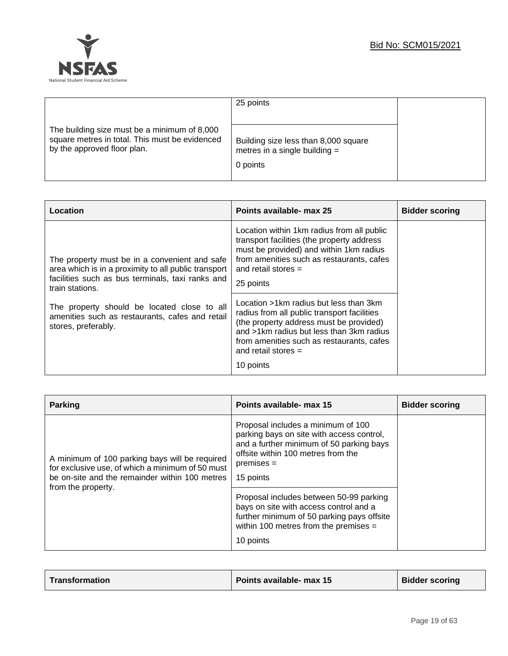|                                                                                                                               | 25 points                                                                           |  |
|-------------------------------------------------------------------------------------------------------------------------------|-------------------------------------------------------------------------------------|--|
| The building size must be a minimum of 8,000<br>square metres in total. This must be evidenced<br>by the approved floor plan. | Building size less than 8,000 square<br>metres in a single building $=$<br>0 points |  |

| Location                                                                                                                                                                                                                                                                                              | Points available- max 25                                                                                                                                                                                                                                                                                                                                                                                                                                                                  | <b>Bidder scoring</b> |
|-------------------------------------------------------------------------------------------------------------------------------------------------------------------------------------------------------------------------------------------------------------------------------------------------------|-------------------------------------------------------------------------------------------------------------------------------------------------------------------------------------------------------------------------------------------------------------------------------------------------------------------------------------------------------------------------------------------------------------------------------------------------------------------------------------------|-----------------------|
| The property must be in a convenient and safe<br>area which is in a proximity to all public transport<br>facilities such as bus terminals, taxi ranks and<br>train stations.<br>The property should be located close to all<br>amenities such as restaurants, cafes and retail<br>stores, preferably. | Location within 1km radius from all public<br>transport facilities (the property address<br>must be provided) and within 1km radius<br>from amenities such as restaurants, cafes<br>and retail stores $=$<br>25 points<br>Location >1km radius but less than 3km<br>radius from all public transport facilities<br>(the property address must be provided)<br>and >1km radius but less than 3km radius<br>from amenities such as restaurants, cafes<br>and retail stores $=$<br>10 points |                       |

| <b>Parking</b>                                                                                                                                                             | Points available- max 15                                                                                                                                                                                                                                                                                                          | <b>Bidder scoring</b> |
|----------------------------------------------------------------------------------------------------------------------------------------------------------------------------|-----------------------------------------------------------------------------------------------------------------------------------------------------------------------------------------------------------------------------------------------------------------------------------------------------------------------------------|-----------------------|
| A minimum of 100 parking bays will be required<br>for exclusive use, of which a minimum of 50 must<br>be on-site and the remainder within 100 metres<br>from the property. | Proposal includes a minimum of 100<br>parking bays on site with access control,<br>and a further minimum of 50 parking bays<br>offsite within 100 metres from the<br>$premises =$<br>15 points<br>Proposal includes between 50-99 parking<br>bays on site with access control and a<br>further minimum of 50 parking pays offsite |                       |
|                                                                                                                                                                            | within 100 metres from the premises $=$<br>10 points                                                                                                                                                                                                                                                                              |                       |

| Transformation | Points available- max 15 | <b>Bidder scoring</b> |
|----------------|--------------------------|-----------------------|
|----------------|--------------------------|-----------------------|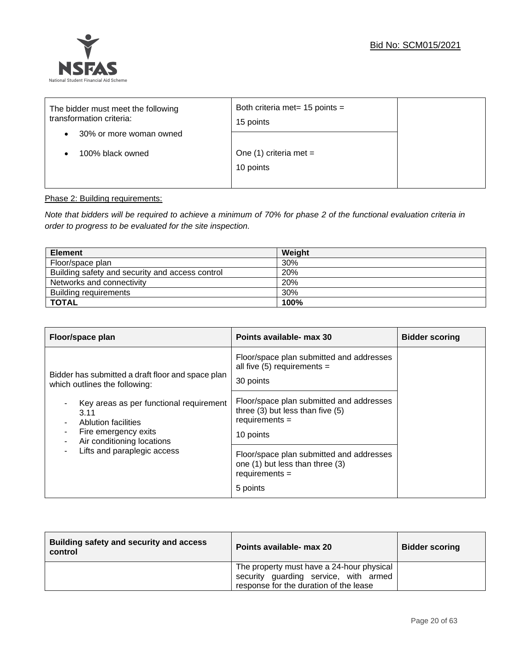

| The bidder must meet the following<br>transformation criteria:<br>30% or more woman owned<br>٠ | Both criteria met= $15$ points =<br>15 points |  |
|------------------------------------------------------------------------------------------------|-----------------------------------------------|--|
| 100% black owned                                                                               | One $(1)$ criteria met =<br>10 points         |  |

## Phase 2: Building requirements:

*Note that bidders will be required to achieve a minimum of 70% for phase 2 of the functional evaluation criteria in order to progress to be evaluated for the site inspection.*

| <b>Element</b>                                  | Weight |
|-------------------------------------------------|--------|
| Floor/space plan                                | 30%    |
| Building safety and security and access control | 20%    |
| Networks and connectivity                       | 20%    |
| Building requirements                           | 30%    |
| <b>TOTAL</b>                                    | 100%   |

| Floor/space plan                                                                                                                                                                                                                                                 | Points available- max 30                                                                                                                                                                                                                                | <b>Bidder scoring</b> |
|------------------------------------------------------------------------------------------------------------------------------------------------------------------------------------------------------------------------------------------------------------------|---------------------------------------------------------------------------------------------------------------------------------------------------------------------------------------------------------------------------------------------------------|-----------------------|
| Bidder has submitted a draft floor and space plan<br>which outlines the following:<br>Key areas as per functional requirement<br>3.11<br>Ablution facilities<br>Fire emergency exits<br>٠<br>Air conditioning locations<br>٠<br>Lifts and paraplegic access<br>۰ | Floor/space plan submitted and addresses<br>all five $(5)$ requirements =<br>30 points<br>Floor/space plan submitted and addresses<br>three $(3)$ but less than five $(5)$<br>$requirements =$<br>10 points<br>Floor/space plan submitted and addresses |                       |
|                                                                                                                                                                                                                                                                  | one (1) but less than three (3)<br>$requirements =$                                                                                                                                                                                                     |                       |
|                                                                                                                                                                                                                                                                  | 5 points                                                                                                                                                                                                                                                |                       |

| Building safety and security and access<br>control | Points available- max 20                                                                                                     | <b>Bidder scoring</b> |
|----------------------------------------------------|------------------------------------------------------------------------------------------------------------------------------|-----------------------|
|                                                    | The property must have a 24-hour physical<br>security guarding service, with armed<br>response for the duration of the lease |                       |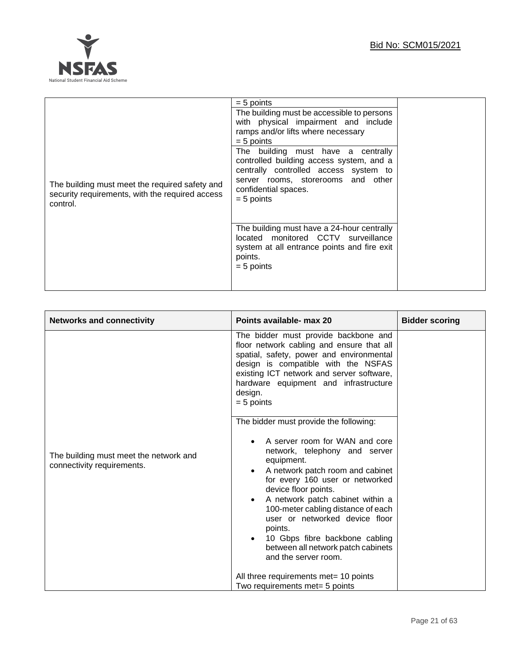

| $= 5$ points                                                                                                                                             |                                                                                                                                                                                                                                                                                                                                                                                                                                                       |
|----------------------------------------------------------------------------------------------------------------------------------------------------------|-------------------------------------------------------------------------------------------------------------------------------------------------------------------------------------------------------------------------------------------------------------------------------------------------------------------------------------------------------------------------------------------------------------------------------------------------------|
| $= 5$ points<br>The building must meet the required safety and<br>security requirements, with the required access<br>$= 5$ points<br>control.<br>points. | The building must be accessible to persons<br>with physical impairment and include<br>ramps and/or lifts where necessary<br>The building must have a centrally<br>controlled building access system, and a<br>centrally controlled access system to<br>server rooms, storerooms and other<br>confidential spaces.<br>The building must have a 24-hour centrally<br>located monitored CCTV surveillance<br>system at all entrance points and fire exit |
| $= 5$ points                                                                                                                                             |                                                                                                                                                                                                                                                                                                                                                                                                                                                       |

| <b>Networks and connectivity</b>                                     | Points available- max 20                                                                                                                                                                                                                                                                                                                                                                                                                                                                                                                                                                                                    | <b>Bidder scoring</b> |
|----------------------------------------------------------------------|-----------------------------------------------------------------------------------------------------------------------------------------------------------------------------------------------------------------------------------------------------------------------------------------------------------------------------------------------------------------------------------------------------------------------------------------------------------------------------------------------------------------------------------------------------------------------------------------------------------------------------|-----------------------|
| The building must meet the network and<br>connectivity requirements. | The bidder must provide backbone and<br>floor network cabling and ensure that all<br>spatial, safety, power and environmental<br>design is compatible with the NSFAS<br>existing ICT network and server software,<br>hardware equipment and infrastructure<br>design.<br>$= 5$ points<br>The bidder must provide the following:<br>A server room for WAN and core<br>network, telephony and server<br>equipment.<br>A network patch room and cabinet<br>for every 160 user or networked<br>device floor points.<br>A network patch cabinet within a<br>100-meter cabling distance of each<br>user or networked device floor |                       |
|                                                                      | points.<br>10 Gbps fibre backbone cabling<br>between all network patch cabinets<br>and the server room.                                                                                                                                                                                                                                                                                                                                                                                                                                                                                                                     |                       |
|                                                                      | All three requirements met= 10 points<br>Two requirements met= 5 points                                                                                                                                                                                                                                                                                                                                                                                                                                                                                                                                                     |                       |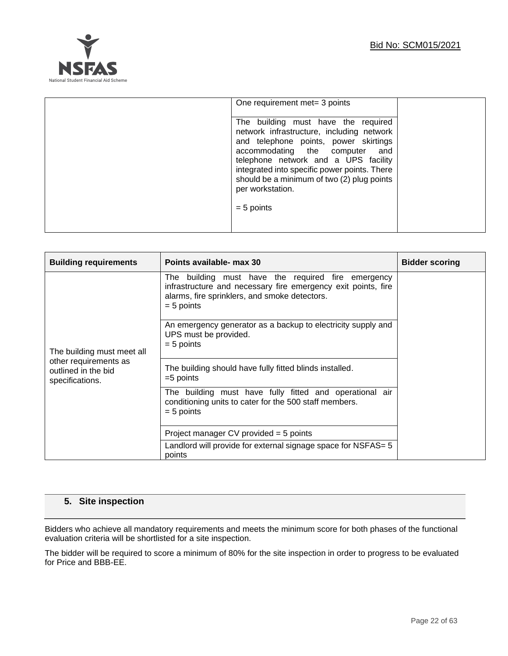

| One requirement met = 3 points                                                                                                                                                                                                                                                                                                           |  |
|------------------------------------------------------------------------------------------------------------------------------------------------------------------------------------------------------------------------------------------------------------------------------------------------------------------------------------------|--|
| The building must have the required<br>network infrastructure, including network<br>and telephone points, power skirtings<br>accommodating the computer<br>and<br>telephone network and a UPS facility<br>integrated into specific power points. There<br>should be a minimum of two (2) plug points<br>per workstation.<br>$= 5$ points |  |

| <b>Building requirements</b>                                                                  | Points available- max 30                                                                                                                                                             | <b>Bidder scoring</b> |
|-----------------------------------------------------------------------------------------------|--------------------------------------------------------------------------------------------------------------------------------------------------------------------------------------|-----------------------|
|                                                                                               | The building must have the required fire emergency<br>infrastructure and necessary fire emergency exit points, fire<br>alarms, fire sprinklers, and smoke detectors.<br>$= 5$ points |                       |
| The building must meet all<br>other requirements as<br>outlined in the bid<br>specifications. | An emergency generator as a backup to electricity supply and<br>UPS must be provided.<br>$= 5$ points                                                                                |                       |
|                                                                                               | The building should have fully fitted blinds installed.<br>$=5$ points                                                                                                               |                       |
|                                                                                               | The building must have fully fitted and operational air<br>conditioning units to cater for the 500 staff members.<br>$= 5$ points                                                    |                       |
|                                                                                               | Project manager $CV$ provided = 5 points                                                                                                                                             |                       |
|                                                                                               | Landlord will provide for external signage space for NSFAS= 5<br>points                                                                                                              |                       |

## **5. Site inspection**

Bidders who achieve all mandatory requirements and meets the minimum score for both phases of the functional evaluation criteria will be shortlisted for a site inspection.

The bidder will be required to score a minimum of 80% for the site inspection in order to progress to be evaluated for Price and BBB-EE.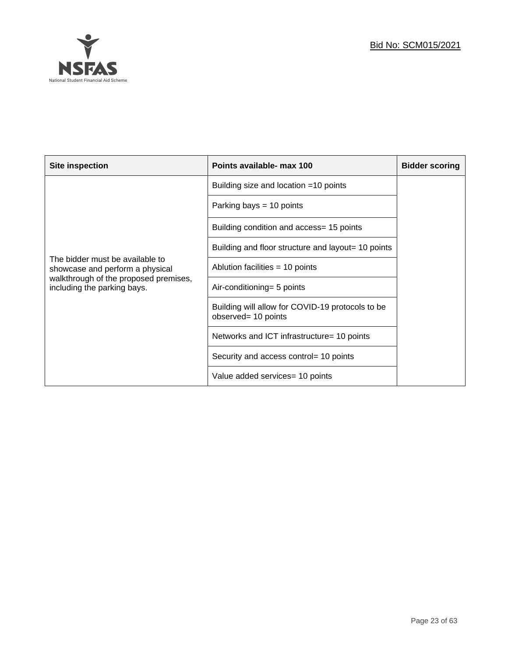

| <b>Site inspection</b>                                               | Points available- max 100                                               | <b>Bidder scoring</b> |
|----------------------------------------------------------------------|-------------------------------------------------------------------------|-----------------------|
|                                                                      | Building size and location $=10$ points                                 |                       |
|                                                                      | Parking bays $= 10$ points                                              |                       |
|                                                                      | Building condition and access= 15 points                                |                       |
|                                                                      | Building and floor structure and layout= 10 points                      |                       |
| The bidder must be available to<br>showcase and perform a physical   | Ablution facilities = 10 points                                         |                       |
| walkthrough of the proposed premises,<br>including the parking bays. | Air-conditioning= 5 points                                              |                       |
|                                                                      | Building will allow for COVID-19 protocols to be<br>observed= 10 points |                       |
|                                                                      | Networks and ICT infrastructure= 10 points                              |                       |
|                                                                      | Security and access control= 10 points                                  |                       |
|                                                                      | Value added services= 10 points                                         |                       |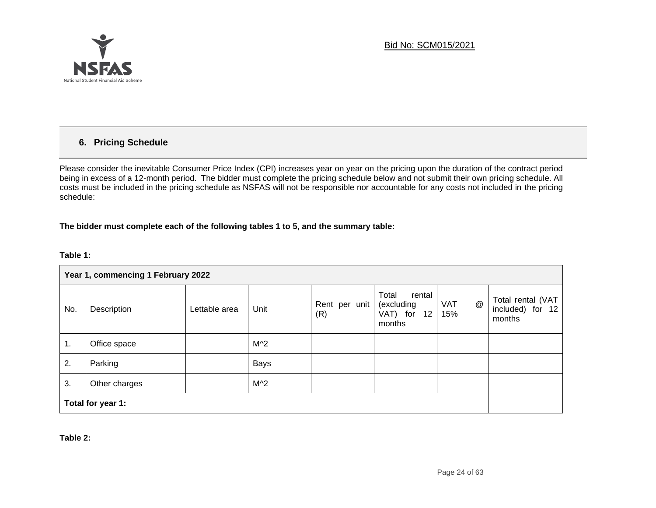

## **6. Pricing Schedule**

Please consider the inevitable Consumer Price Index (CPI) increases year on year on the pricing upon the duration of the contract period being in excess of a 12-month period. The bidder must complete the pricing schedule below and not submit their own pricing schedule. All costs must be included in the pricing schedule as NSFAS will not be responsible nor accountable for any costs not included in the pricing schedule:

#### **The bidder must complete each of the following tables 1 to 5, and the summary table:**

#### **Table 1:**

|     | Year 1, commencing 1 February 2022 |               |             |                      |                                                           |                                                |                                                    |
|-----|------------------------------------|---------------|-------------|----------------------|-----------------------------------------------------------|------------------------------------------------|----------------------------------------------------|
| No. | Description                        | Lettable area | Unit        | Rent per unit<br>(R) | Total<br>rental<br>(excluding<br>VAT) for<br>12<br>months | $^\text{\textregistered}$<br><b>VAT</b><br>15% | Total rental (VAT<br>included) for<br>12<br>months |
| 1.  | Office space                       |               | $M^2$       |                      |                                                           |                                                |                                                    |
| 2.  | Parking                            |               | <b>Bays</b> |                      |                                                           |                                                |                                                    |
| 3.  | Other charges                      |               | $M^2$       |                      |                                                           |                                                |                                                    |
|     | Total for year 1:                  |               |             |                      |                                                           |                                                |                                                    |

**Table 2:**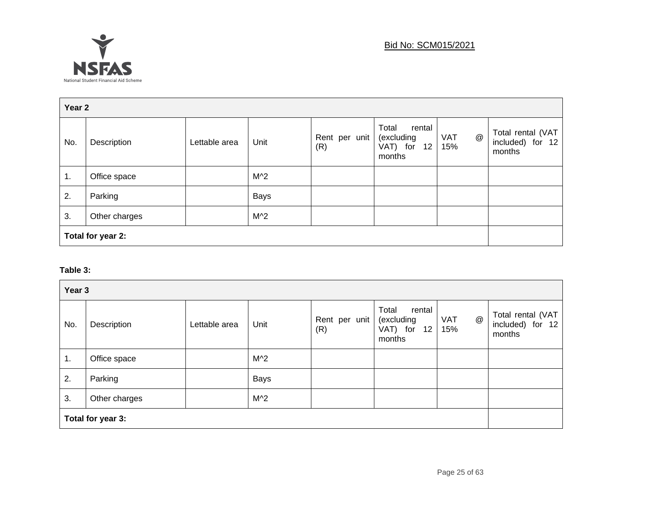

| Year 2 |                   |               |             |                      |                                                           |                                                |                                                 |
|--------|-------------------|---------------|-------------|----------------------|-----------------------------------------------------------|------------------------------------------------|-------------------------------------------------|
| No.    | Description       | Lettable area | Unit        | Rent per unit<br>(R) | Total<br>rental<br>(excluding<br>VAT) for<br>12<br>months | $^\text{\textregistered}$<br><b>VAT</b><br>15% | Total rental (VAT<br>included) for 12<br>months |
| 1.     | Office space      |               | $M^2$       |                      |                                                           |                                                |                                                 |
| 2.     | Parking           |               | <b>Bays</b> |                      |                                                           |                                                |                                                 |
| 3.     | Other charges     |               | $M^2$       |                      |                                                           |                                                |                                                 |
|        | Total for year 2: |               |             |                      |                                                           |                                                |                                                 |

## **Table 3:**

| Year 3 |                   |               |             |                      |                                                           |                                                |                                                 |
|--------|-------------------|---------------|-------------|----------------------|-----------------------------------------------------------|------------------------------------------------|-------------------------------------------------|
| No.    | Description       | Lettable area | Unit        | Rent per unit<br>(R) | Total<br>rental<br>(excluding<br>VAT) for<br>12<br>months | $^\text{\textregistered}$<br><b>VAT</b><br>15% | Total rental (VAT<br>included) for 12<br>months |
| 1.     | Office space      |               | $M^2$       |                      |                                                           |                                                |                                                 |
| 2.     | Parking           |               | <b>Bays</b> |                      |                                                           |                                                |                                                 |
| 3.     | Other charges     |               | $M^2$       |                      |                                                           |                                                |                                                 |
|        | Total for year 3: |               |             |                      |                                                           |                                                |                                                 |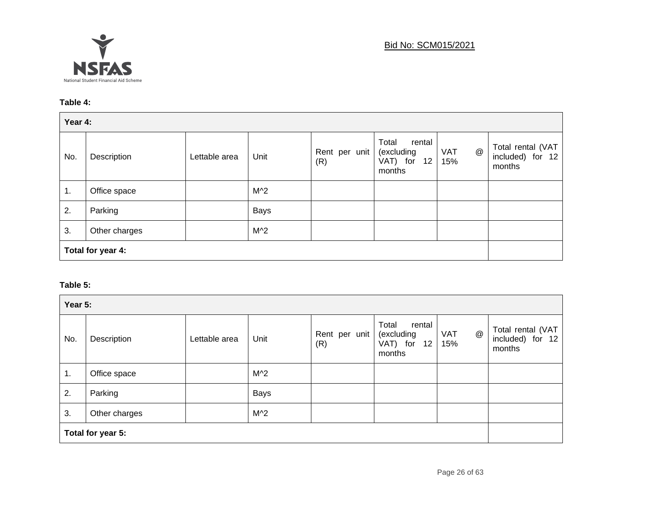

## Bid No: SCM015/2021

## **Table 4:**

| Year 4: |                   |               |             |                      |                                                                        |                        |                                                   |
|---------|-------------------|---------------|-------------|----------------------|------------------------------------------------------------------------|------------------------|---------------------------------------------------|
| No.     | Description       | Lettable area | Unit        | Rent per unit<br>(R) | Total<br>rental<br>(excluding<br>VAT) for<br>12 <sup>2</sup><br>months | @<br><b>VAT</b><br>15% | Total rental (VAT<br>included) for $12$<br>months |
| 1.      | Office space      |               | $M^2$       |                      |                                                                        |                        |                                                   |
| 2.      | Parking           |               | <b>Bays</b> |                      |                                                                        |                        |                                                   |
| 3.      | Other charges     |               | $M^2$       |                      |                                                                        |                        |                                                   |
|         | Total for year 4: |               |             |                      |                                                                        |                        |                                                   |

## **Table 5:**

| Year 5: |                   |               |             |                      |                                                                         |                                                |                                                 |
|---------|-------------------|---------------|-------------|----------------------|-------------------------------------------------------------------------|------------------------------------------------|-------------------------------------------------|
| No.     | Description       | Lettable area | Unit        | Rent per unit<br>(R) | Total<br>rental<br>(excluding<br>VAT) for<br>12 <sup>12</sup><br>months | $^\text{\textregistered}$<br><b>VAT</b><br>15% | Total rental (VAT<br>included) for 12<br>months |
| 1.      | Office space      |               | $M^2$       |                      |                                                                         |                                                |                                                 |
| 2.      | Parking           |               | <b>Bays</b> |                      |                                                                         |                                                |                                                 |
| 3.      | Other charges     |               | $M^2$       |                      |                                                                         |                                                |                                                 |
|         | Total for year 5: |               |             |                      |                                                                         |                                                |                                                 |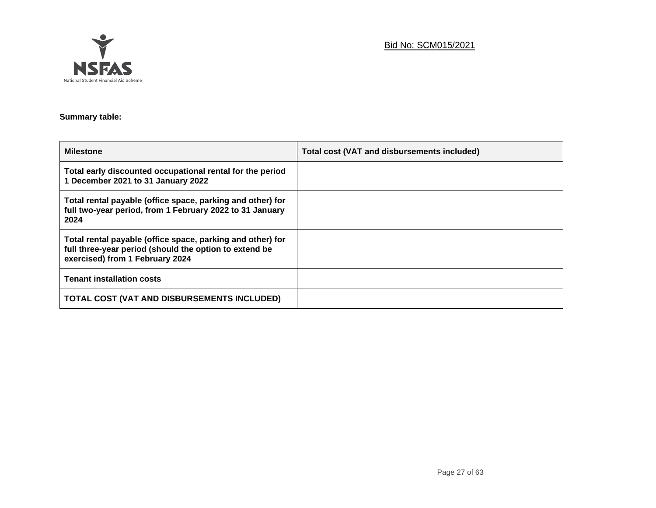

## Bid No: SCM015/2021

## **Summary table:**

| <b>Milestone</b>                                                                                                                                        | <b>Total cost (VAT and disbursements included)</b> |
|---------------------------------------------------------------------------------------------------------------------------------------------------------|----------------------------------------------------|
| Total early discounted occupational rental for the period<br>1 December 2021 to 31 January 2022                                                         |                                                    |
| Total rental payable (office space, parking and other) for<br>full two-year period, from 1 February 2022 to 31 January<br>2024                          |                                                    |
| Total rental payable (office space, parking and other) for<br>full three-year period (should the option to extend be<br>exercised) from 1 February 2024 |                                                    |
| <b>Tenant installation costs</b>                                                                                                                        |                                                    |
| TOTAL COST (VAT AND DISBURSEMENTS INCLUDED)                                                                                                             |                                                    |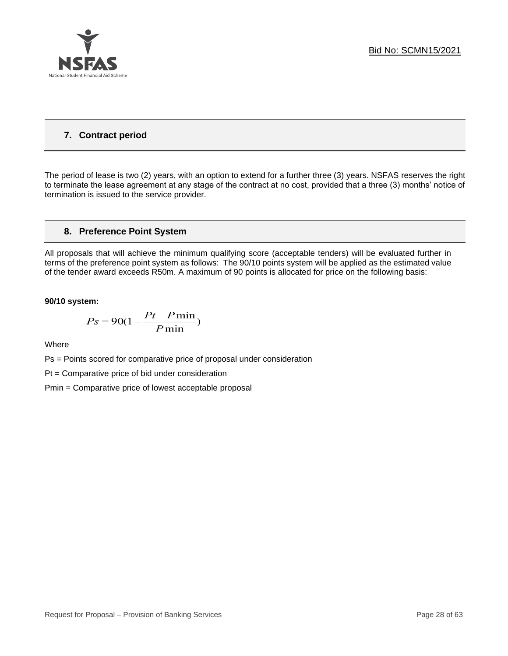

## **7. Contract period**

The period of lease is two (2) years, with an option to extend for a further three (3) years. NSFAS reserves the right to terminate the lease agreement at any stage of the contract at no cost, provided that a three (3) months' notice of termination is issued to the service provider.

## **8. Preference Point System**

All proposals that will achieve the minimum qualifying score (acceptable tenders) will be evaluated further in terms of the preference point system as follows: The 90/10 points system will be applied as the estimated value of the tender award exceeds R50m. A maximum of 90 points is allocated for price on the following basis:

#### **90/10 system:**

$$
Ps = 90(1 - \frac{Pt - P\min}{P\min})
$$

Where

Ps = Points scored for comparative price of proposal under consideration

Pt = Comparative price of bid under consideration

Pmin = Comparative price of lowest acceptable proposal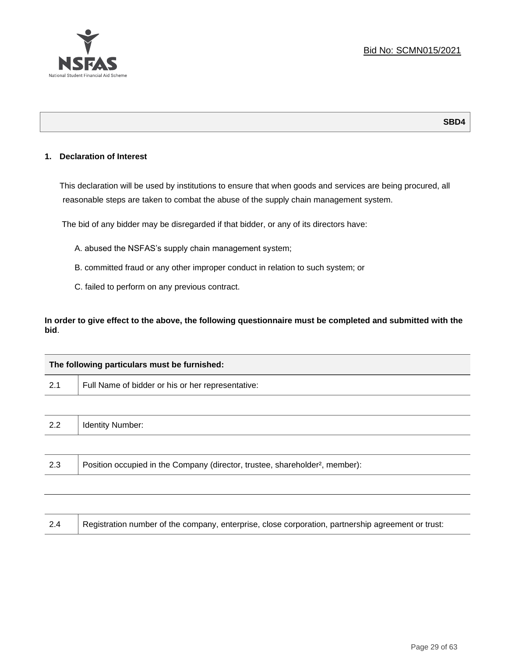

## **SBD4**

## **1. Declaration of Interest**

This declaration will be used by institutions to ensure that when goods and services are being procured, all reasonable steps are taken to combat the abuse of the supply chain management system.

The bid of any bidder may be disregarded if that bidder, or any of its directors have:

- A. abused the NSFAS's supply chain management system;
- B. committed fraud or any other improper conduct in relation to such system; or
- C. failed to perform on any previous contract.

**In order to give effect to the above, the following questionnaire must be completed and submitted with the bid**.

|     | The following particulars must be furnished:                                             |
|-----|------------------------------------------------------------------------------------------|
| 2.1 | Full Name of bidder or his or her representative:                                        |
|     |                                                                                          |
| 2.2 | <b>Identity Number:</b>                                                                  |
|     |                                                                                          |
| 2.3 | Position occupied in the Company (director, trustee, shareholder <sup>2</sup> , member): |

| 2.4 | Registration number of the company, enterprise, close corporation, partnership agreement or trust: |
|-----|----------------------------------------------------------------------------------------------------|
|-----|----------------------------------------------------------------------------------------------------|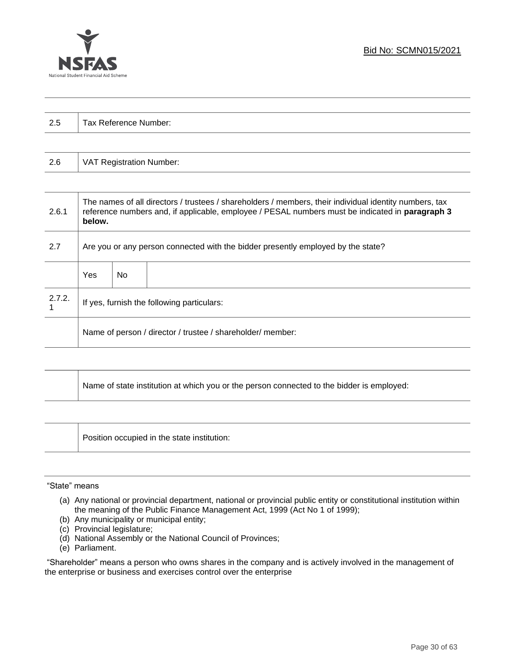

| っょ<br>ن.∠ | Tax Reference Number: |
|-----------|-----------------------|
|           |                       |

| 2.6 | VAT Registration Number: |
|-----|--------------------------|
|-----|--------------------------|

| 2.6.1  | The names of all directors / trustees / shareholders / members, their individual identity numbers, tax<br>reference numbers and, if applicable, employee / PESAL numbers must be indicated in paragraph 3<br>below. |     |  |  |
|--------|---------------------------------------------------------------------------------------------------------------------------------------------------------------------------------------------------------------------|-----|--|--|
| 2.7    | Are you or any person connected with the bidder presently employed by the state?                                                                                                                                    |     |  |  |
|        | Yes                                                                                                                                                                                                                 | No. |  |  |
| 2.7.2. | If yes, furnish the following particulars:                                                                                                                                                                          |     |  |  |
|        | Name of person / director / trustee / shareholder/ member:                                                                                                                                                          |     |  |  |

| Name of state institution at which you or the person connected to the bidder is employed: |
|-------------------------------------------------------------------------------------------|
|                                                                                           |

Position occupied in the state institution:

#### "State" means

- (a) Any national or provincial department, national or provincial public entity or constitutional institution within the meaning of the Public Finance Management Act, 1999 (Act No 1 of 1999);
- (b) Any municipality or municipal entity;
- (c) Provincial legislature;
- (d) National Assembly or the National Council of Provinces;
- (e) Parliament.

"Shareholder" means a person who owns shares in the company and is actively involved in the management of the enterprise or business and exercises control over the enterprise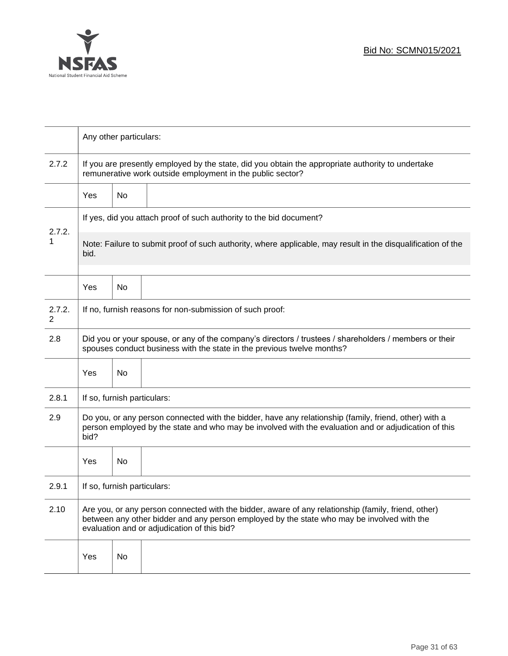

|             | Any other particulars:                                                                                                                                                                                                                           |                                                                                                                                                                 |  |  |  |  |
|-------------|--------------------------------------------------------------------------------------------------------------------------------------------------------------------------------------------------------------------------------------------------|-----------------------------------------------------------------------------------------------------------------------------------------------------------------|--|--|--|--|
| 2.7.2       |                                                                                                                                                                                                                                                  | If you are presently employed by the state, did you obtain the appropriate authority to undertake<br>remunerative work outside employment in the public sector? |  |  |  |  |
|             | Yes                                                                                                                                                                                                                                              | No                                                                                                                                                              |  |  |  |  |
|             | If yes, did you attach proof of such authority to the bid document?                                                                                                                                                                              |                                                                                                                                                                 |  |  |  |  |
| 2.7.2.<br>1 | Note: Failure to submit proof of such authority, where applicable, may result in the disqualification of the<br>bid.                                                                                                                             |                                                                                                                                                                 |  |  |  |  |
|             | Yes                                                                                                                                                                                                                                              | No                                                                                                                                                              |  |  |  |  |
| 2.7.2.<br>2 | If no, furnish reasons for non-submission of such proof:                                                                                                                                                                                         |                                                                                                                                                                 |  |  |  |  |
| 2.8         | Did you or your spouse, or any of the company's directors / trustees / shareholders / members or their<br>spouses conduct business with the state in the previous twelve months?                                                                 |                                                                                                                                                                 |  |  |  |  |
|             | Yes                                                                                                                                                                                                                                              | No                                                                                                                                                              |  |  |  |  |
| 2.8.1       | If so, furnish particulars:                                                                                                                                                                                                                      |                                                                                                                                                                 |  |  |  |  |
| 2.9         | Do you, or any person connected with the bidder, have any relationship (family, friend, other) with a<br>person employed by the state and who may be involved with the evaluation and or adjudication of this<br>bid?                            |                                                                                                                                                                 |  |  |  |  |
|             | Yes                                                                                                                                                                                                                                              | No                                                                                                                                                              |  |  |  |  |
| 2.9.1       | If so, furnish particulars:                                                                                                                                                                                                                      |                                                                                                                                                                 |  |  |  |  |
| 2.10        | Are you, or any person connected with the bidder, aware of any relationship (family, friend, other)<br>between any other bidder and any person employed by the state who may be involved with the<br>evaluation and or adjudication of this bid? |                                                                                                                                                                 |  |  |  |  |
|             | Yes                                                                                                                                                                                                                                              | No                                                                                                                                                              |  |  |  |  |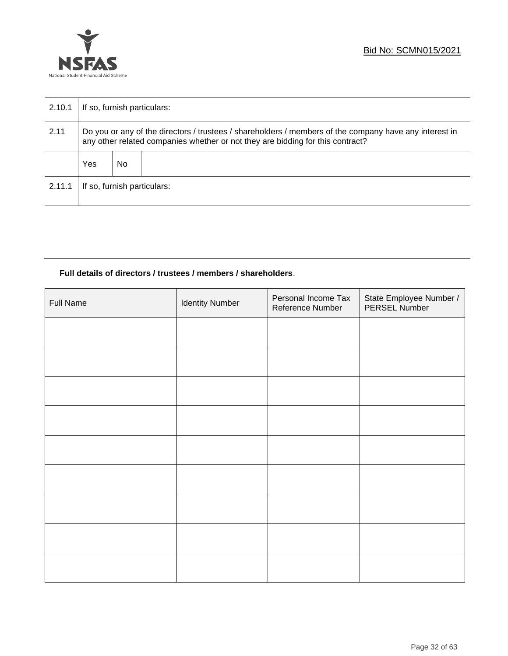

| 2.10.1 | If so, furnish particulars:                                                                                                                                                              |    |  |  |
|--------|------------------------------------------------------------------------------------------------------------------------------------------------------------------------------------------|----|--|--|
| 2.11   | Do you or any of the directors / trustees / shareholders / members of the company have any interest in<br>any other related companies whether or not they are bidding for this contract? |    |  |  |
|        | Yes                                                                                                                                                                                      | No |  |  |
| 2.11.1 | If so, furnish particulars:                                                                                                                                                              |    |  |  |

## **Full details of directors / trustees / members / shareholders**.

| <b>Full Name</b> | <b>Identity Number</b> | Personal Income Tax<br>Reference Number | State Employee Number /<br>PERSEL Number |
|------------------|------------------------|-----------------------------------------|------------------------------------------|
|                  |                        |                                         |                                          |
|                  |                        |                                         |                                          |
|                  |                        |                                         |                                          |
|                  |                        |                                         |                                          |
|                  |                        |                                         |                                          |
|                  |                        |                                         |                                          |
|                  |                        |                                         |                                          |
|                  |                        |                                         |                                          |
|                  |                        |                                         |                                          |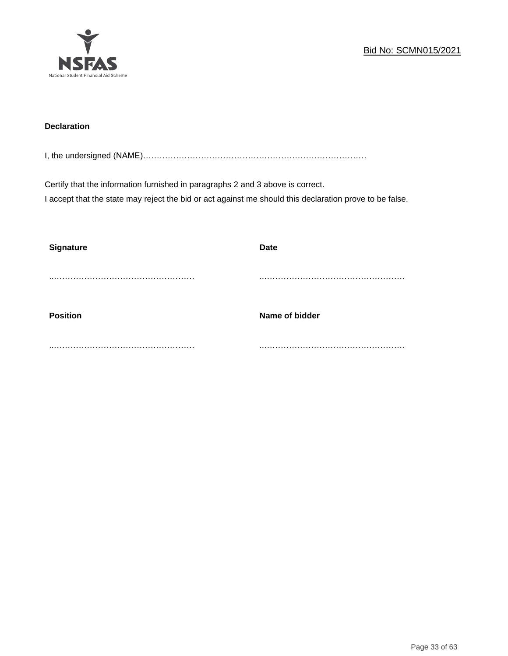

## **Declaration**

I, the undersigned (NAME)………………………………………………………………………

Certify that the information furnished in paragraphs 2 and 3 above is correct. I accept that the state may reject the bid or act against me should this declaration prove to be false.

| <b>Signature</b> | <b>Date</b>    |
|------------------|----------------|
|                  |                |
|                  | .              |
| <b>Position</b>  | Name of bidder |
|                  |                |
|                  |                |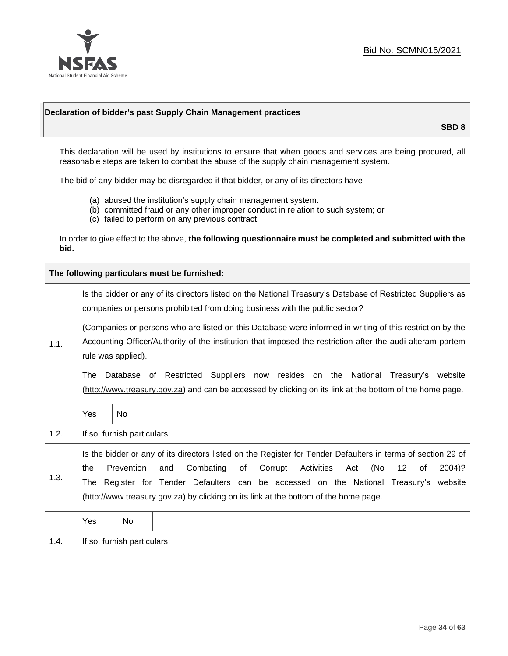

## **Declaration of bidder's past Supply Chain Management practices**

**SBD 8**

This declaration will be used by institutions to ensure that when goods and services are being procured, all reasonable steps are taken to combat the abuse of the supply chain management system.

The bid of any bidder may be disregarded if that bidder, or any of its directors have -

- (a) abused the institution's supply chain management system.
- (b) committed fraud or any other improper conduct in relation to such system; or
- (c) failed to perform on any previous contract.

In order to give effect to the above, **the following questionnaire must be completed and submitted with the bid.**

**The following particulars must be furnished:**

|      | Is the bidder or any of its directors listed on the National Treasury's Database of Restricted Suppliers as<br>companies or persons prohibited from doing business with the public sector?                                                                                                                                                                                                                |                             |                                                                                                                                                                                                |  |  |
|------|-----------------------------------------------------------------------------------------------------------------------------------------------------------------------------------------------------------------------------------------------------------------------------------------------------------------------------------------------------------------------------------------------------------|-----------------------------|------------------------------------------------------------------------------------------------------------------------------------------------------------------------------------------------|--|--|
| 1.1. | (Companies or persons who are listed on this Database were informed in writing of this restriction by the<br>Accounting Officer/Authority of the institution that imposed the restriction after the audi alteram partem<br>rule was applied).                                                                                                                                                             |                             |                                                                                                                                                                                                |  |  |
|      | The                                                                                                                                                                                                                                                                                                                                                                                                       |                             | Database of Restricted Suppliers now resides on the National<br>Treasury's website<br>(http://www.treasury.gov.za) and can be accessed by clicking on its link at the bottom of the home page. |  |  |
|      | Yes                                                                                                                                                                                                                                                                                                                                                                                                       | <b>No</b>                   |                                                                                                                                                                                                |  |  |
| 1.2. |                                                                                                                                                                                                                                                                                                                                                                                                           | If so, furnish particulars: |                                                                                                                                                                                                |  |  |
| 1.3. | Is the bidder or any of its directors listed on the Register for Tender Defaulters in terms of section 29 of<br>Prevention<br>Activities<br>(No<br>Combating<br>of<br>Corrupt<br>12<br>2004)?<br>the<br>and<br>Act<br>of<br>The Register for Tender Defaulters can be accessed on the National Treasury's website<br>(http://www.treasury.gov.za) by clicking on its link at the bottom of the home page. |                             |                                                                                                                                                                                                |  |  |
|      | Yes                                                                                                                                                                                                                                                                                                                                                                                                       | No.                         |                                                                                                                                                                                                |  |  |
| 1.4. |                                                                                                                                                                                                                                                                                                                                                                                                           | If so, furnish particulars: |                                                                                                                                                                                                |  |  |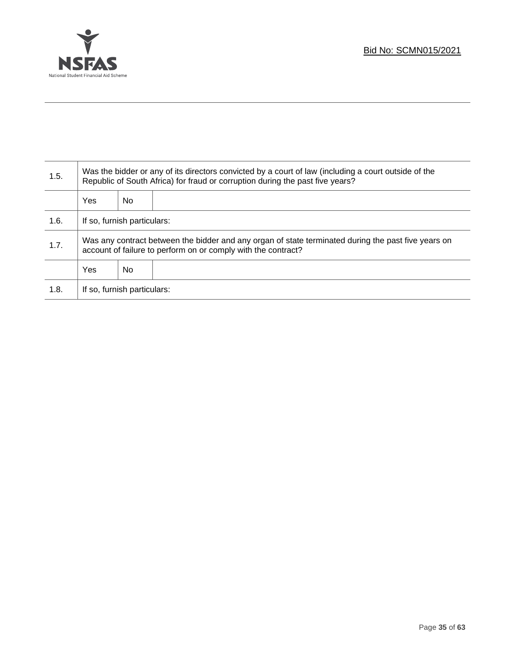

T

| 1.5. | Was the bidder or any of its directors convicted by a court of law (including a court outside of the<br>Republic of South Africa) for fraud or corruption during the past five years? |    |  |  |
|------|---------------------------------------------------------------------------------------------------------------------------------------------------------------------------------------|----|--|--|
|      | <b>Yes</b>                                                                                                                                                                            | No |  |  |
| 1.6. | If so, furnish particulars:                                                                                                                                                           |    |  |  |
| 1.7. | Was any contract between the bidder and any organ of state terminated during the past five years on<br>account of failure to perform on or comply with the contract?                  |    |  |  |
|      | <b>Yes</b>                                                                                                                                                                            | No |  |  |
| 1.8. | If so, furnish particulars:                                                                                                                                                           |    |  |  |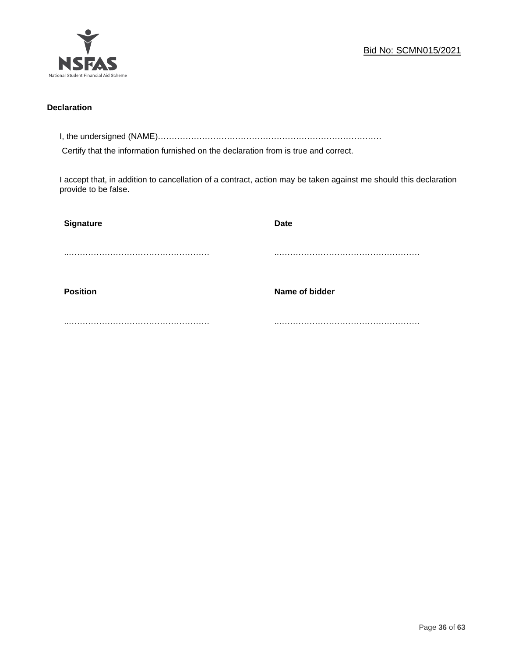

## **Declaration**

I, the undersigned (NAME)………………………………………………………………………

Certify that the information furnished on the declaration from is true and correct.

I accept that, in addition to cancellation of a contract, action may be taken against me should this declaration provide to be false.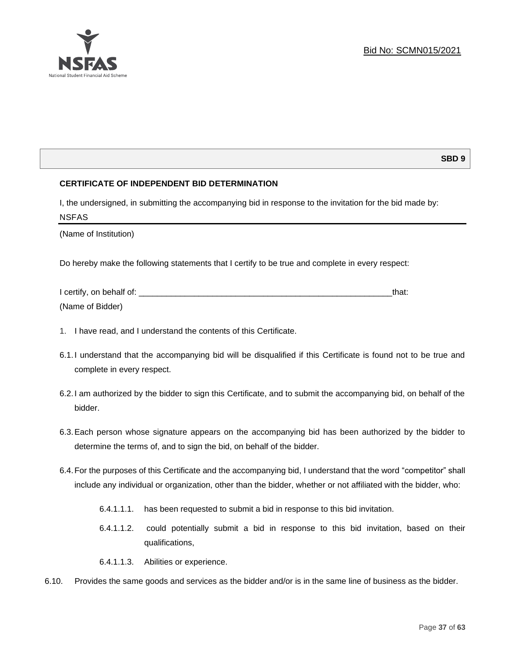

## **SBD 9**

## **CERTIFICATE OF INDEPENDENT BID DETERMINATION**

I, the undersigned, in submitting the accompanying bid in response to the invitation for the bid made by: NSFAS

(Name of Institution)

Do hereby make the following statements that I certify to be true and complete in every respect:

| I certify, on behalf of: |  |  |
|--------------------------|--|--|
| (Name of Bidder)         |  |  |

- 1. I have read, and I understand the contents of this Certificate.
- 6.1.I understand that the accompanying bid will be disqualified if this Certificate is found not to be true and complete in every respect.
- 6.2.I am authorized by the bidder to sign this Certificate, and to submit the accompanying bid, on behalf of the bidder.
- 6.3.Each person whose signature appears on the accompanying bid has been authorized by the bidder to determine the terms of, and to sign the bid, on behalf of the bidder.
- 6.4.For the purposes of this Certificate and the accompanying bid, I understand that the word "competitor" shall include any individual or organization, other than the bidder, whether or not affiliated with the bidder, who:
	- 6.4.1.1.1. has been requested to submit a bid in response to this bid invitation.
	- 6.4.1.1.2. could potentially submit a bid in response to this bid invitation, based on their qualifications,
	- 6.4.1.1.3. Abilities or experience.
- 6.10. Provides the same goods and services as the bidder and/or is in the same line of business as the bidder.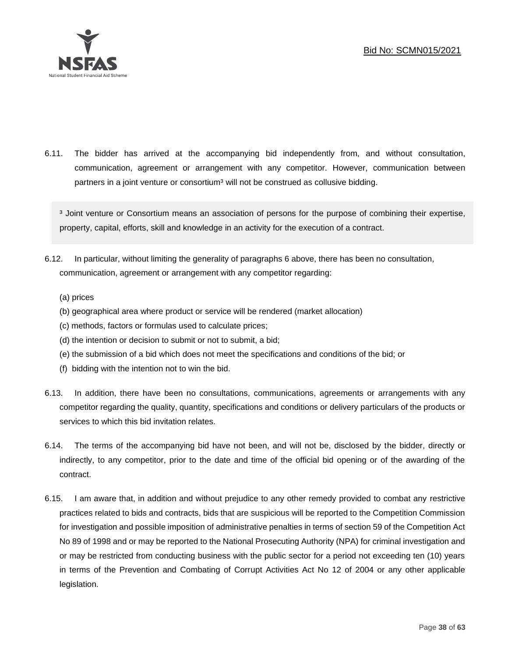

6.11. The bidder has arrived at the accompanying bid independently from, and without consultation, communication, agreement or arrangement with any competitor. However, communication between partners in a joint venture or consortium<sup>3</sup> will not be construed as collusive bidding.

<sup>3</sup> Joint venture or Consortium means an association of persons for the purpose of combining their expertise, property, capital, efforts, skill and knowledge in an activity for the execution of a contract.

- 6.12. In particular, without limiting the generality of paragraphs 6 above, there has been no consultation, communication, agreement or arrangement with any competitor regarding:
	- (a) prices
	- (b) geographical area where product or service will be rendered (market allocation)
	- (c) methods, factors or formulas used to calculate prices;
	- (d) the intention or decision to submit or not to submit, a bid;
	- (e) the submission of a bid which does not meet the specifications and conditions of the bid; or
	- (f) bidding with the intention not to win the bid.
- 6.13. In addition, there have been no consultations, communications, agreements or arrangements with any competitor regarding the quality, quantity, specifications and conditions or delivery particulars of the products or services to which this bid invitation relates.
- 6.14. The terms of the accompanying bid have not been, and will not be, disclosed by the bidder, directly or indirectly, to any competitor, prior to the date and time of the official bid opening or of the awarding of the contract.
- 6.15. I am aware that, in addition and without prejudice to any other remedy provided to combat any restrictive practices related to bids and contracts, bids that are suspicious will be reported to the Competition Commission for investigation and possible imposition of administrative penalties in terms of section 59 of the Competition Act No 89 of 1998 and or may be reported to the National Prosecuting Authority (NPA) for criminal investigation and or may be restricted from conducting business with the public sector for a period not exceeding ten (10) years in terms of the Prevention and Combating of Corrupt Activities Act No 12 of 2004 or any other applicable legislation.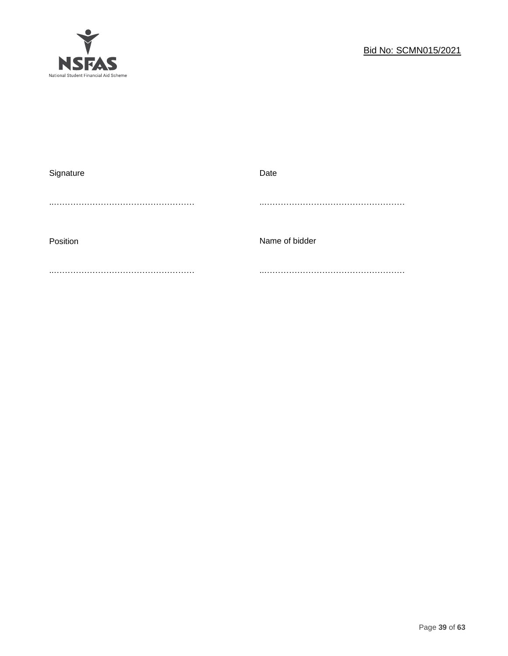

| Signature | Date           |
|-----------|----------------|
|           |                |
|           |                |
|           |                |
| Position  | Name of bidder |
|           |                |
|           |                |
|           |                |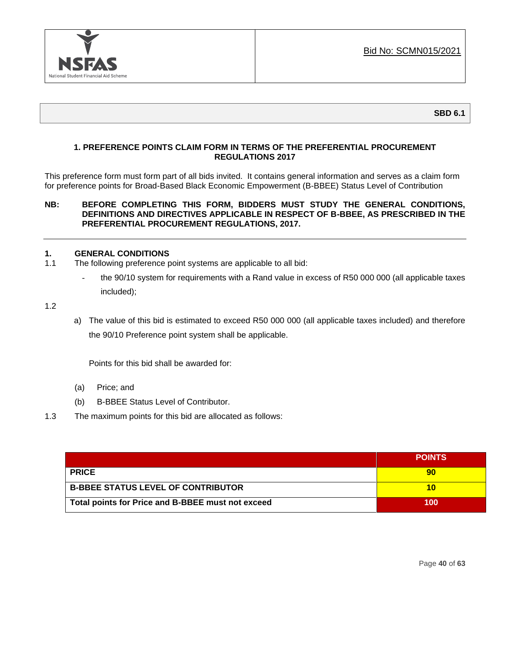

**SBD 6.1**

## **1. PREFERENCE POINTS CLAIM FORM IN TERMS OF THE PREFERENTIAL PROCUREMENT REGULATIONS 2017**

This preference form must form part of all bids invited. It contains general information and serves as a claim form for preference points for Broad-Based Black Economic Empowerment (B-BBEE) Status Level of Contribution

## **NB: BEFORE COMPLETING THIS FORM, BIDDERS MUST STUDY THE GENERAL CONDITIONS, DEFINITIONS AND DIRECTIVES APPLICABLE IN RESPECT OF B-BBEE, AS PRESCRIBED IN THE PREFERENTIAL PROCUREMENT REGULATIONS, 2017.**

## **1. GENERAL CONDITIONS**

- 1.1 The following preference point systems are applicable to all bid:
	- the 90/10 system for requirements with a Rand value in excess of R50 000 000 (all applicable taxes included);

1.2

a) The value of this bid is estimated to exceed R50 000 000 (all applicable taxes included) and therefore the 90/10 Preference point system shall be applicable.

Points for this bid shall be awarded for:

- (a) Price; and
- (b) B-BBEE Status Level of Contributor.
- 1.3 The maximum points for this bid are allocated as follows:

|                                                   | <b>POINTS</b> |
|---------------------------------------------------|---------------|
| <b>PRICE</b>                                      | 90            |
| <b>B-BBEE STATUS LEVEL OF CONTRIBUTOR</b>         | 10            |
| Total points for Price and B-BBEE must not exceed | 100           |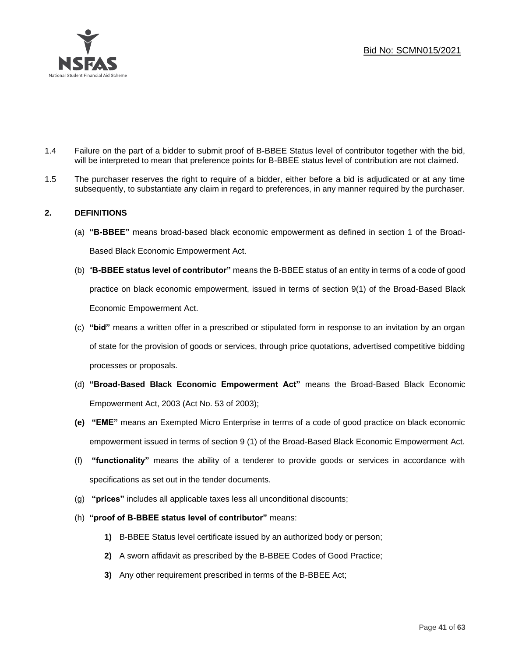

- 1.4 Failure on the part of a bidder to submit proof of B-BBEE Status level of contributor together with the bid, will be interpreted to mean that preference points for B-BBEE status level of contribution are not claimed.
- 1.5 The purchaser reserves the right to require of a bidder, either before a bid is adjudicated or at any time subsequently, to substantiate any claim in regard to preferences, in any manner required by the purchaser.

## **2. DEFINITIONS**

- (a) **"B-BBEE"** means broad-based black economic empowerment as defined in section 1 of the Broad-Based Black Economic Empowerment Act.
- (b) "**B-BBEE status level of contributor"** means the B-BBEE status of an entity in terms of a code of good practice on black economic empowerment, issued in terms of section 9(1) of the Broad-Based Black Economic Empowerment Act.
- (c) **"bid"** means a written offer in a prescribed or stipulated form in response to an invitation by an organ of state for the provision of goods or services, through price quotations, advertised competitive bidding processes or proposals.
- (d) **"Broad-Based Black Economic Empowerment Act"** means the Broad-Based Black Economic Empowerment Act, 2003 (Act No. 53 of 2003);
- **(e) "EME"** means an Exempted Micro Enterprise in terms of a code of good practice on black economic empowerment issued in terms of section 9 (1) of the Broad-Based Black Economic Empowerment Act.
- (f) **"functionality"** means the ability of a tenderer to provide goods or services in accordance with specifications as set out in the tender documents.
- (g) **"prices"** includes all applicable taxes less all unconditional discounts;
- (h) **"proof of B-BBEE status level of contributor"** means:
	- **1)** B-BBEE Status level certificate issued by an authorized body or person;
	- **2)** A sworn affidavit as prescribed by the B-BBEE Codes of Good Practice;
	- **3)** Any other requirement prescribed in terms of the B-BBEE Act;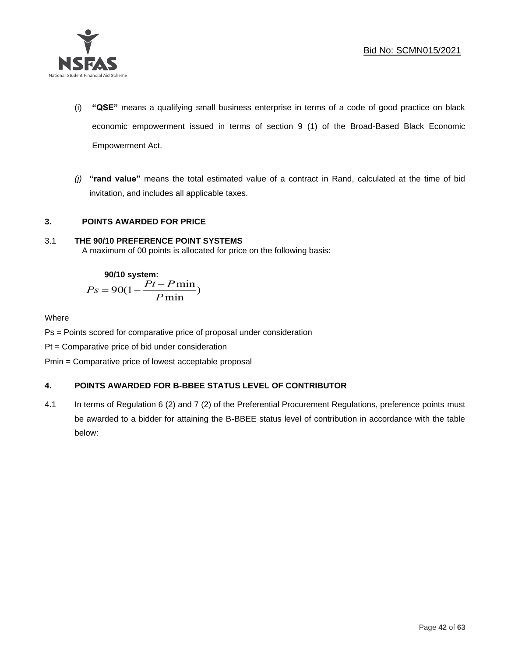

- (i) **"QSE"** means a qualifying small business enterprise in terms of a code of good practice on black economic empowerment issued in terms of section 9 (1) of the Broad-Based Black Economic Empowerment Act.
- *(j)* **"rand value"** means the total estimated value of a contract in Rand, calculated at the time of bid invitation, and includes all applicable taxes.

## **3. POINTS AWARDED FOR PRICE**

## 3.1 **THE 90/10 PREFERENCE POINT SYSTEMS**

A maximum of 00 points is allocated for price on the following basis:

90/10 system:  

$$
Ps = 90(1 - \frac{Pt - P \min}{P \min})
$$

## Where

Ps = Points scored for comparative price of proposal under consideration

Pt = Comparative price of bid under consideration

Pmin = Comparative price of lowest acceptable proposal

## **4. POINTS AWARDED FOR B-BBEE STATUS LEVEL OF CONTRIBUTOR**

4.1 In terms of Regulation 6 (2) and 7 (2) of the Preferential Procurement Regulations, preference points must be awarded to a bidder for attaining the B-BBEE status level of contribution in accordance with the table below: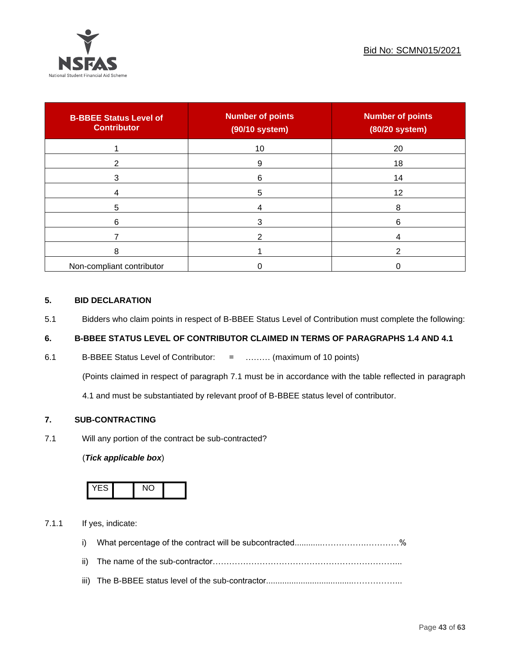

| <b>B-BBEE Status Level of</b><br><b>Contributor</b> | <b>Number of points</b><br>(90/10 system) | <b>Number of points</b><br>(80/20 system) |
|-----------------------------------------------------|-------------------------------------------|-------------------------------------------|
|                                                     | 10                                        | 20                                        |
| 2                                                   | 9                                         | 18                                        |
| 3                                                   | 6                                         | 14                                        |
|                                                     | 5                                         | 12                                        |
| 5                                                   |                                           | 8                                         |
| 6                                                   |                                           | 6                                         |
|                                                     |                                           |                                           |
| 8                                                   |                                           |                                           |
| Non-compliant contributor                           |                                           |                                           |

## **5. BID DECLARATION**

5.1 Bidders who claim points in respect of B-BBEE Status Level of Contribution must complete the following:

## **6. B-BBEE STATUS LEVEL OF CONTRIBUTOR CLAIMED IN TERMS OF PARAGRAPHS 1.4 AND 4.1**

6.1 B-BBEE Status Level of Contributor: = ……… (maximum of 10 points)

(Points claimed in respect of paragraph 7.1 must be in accordance with the table reflected in paragraph

4.1 and must be substantiated by relevant proof of B-BBEE status level of contributor.

## **7. SUB-CONTRACTING**

7.1 Will any portion of the contract be sub-contracted?

## (*Tick applicable box*)



7.1.1 If yes, indicate:

- i) What percentage of the contract will be subcontracted............…………….…………%
- ii) The name of the sub-contractor…………………………………………………………...
- iii) The B-BBEE status level of the sub-contractor......................................……………...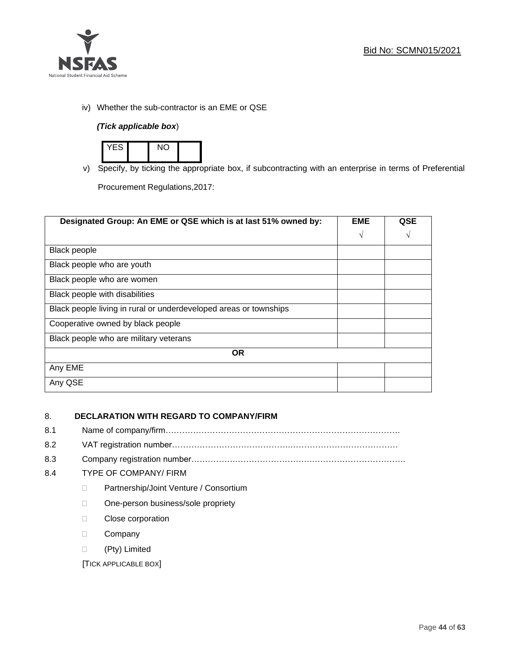

iv) Whether the sub-contractor is an EME or QSE

## *(Tick applicable box*)



v) Specify, by ticking the appropriate box, if subcontracting with an enterprise in terms of Preferential

Procurement Regulations,2017:

| Designated Group: An EME or QSE which is at last 51% owned by:    |            | <b>QSE</b> |
|-------------------------------------------------------------------|------------|------------|
|                                                                   | $\sqrt{ }$ | V          |
| <b>Black people</b>                                               |            |            |
| Black people who are youth                                        |            |            |
| Black people who are women                                        |            |            |
| Black people with disabilities                                    |            |            |
| Black people living in rural or underdeveloped areas or townships |            |            |
| Cooperative owned by black people                                 |            |            |
| Black people who are military veterans                            |            |            |
| <b>OR</b>                                                         |            |            |
| Any EME                                                           |            |            |
| Any QSE                                                           |            |            |

## 8. **DECLARATION WITH REGARD TO COMPANY/FIRM**

- 8.1 Name of company/firm………………………………………………………………………….
- 8.2 VAT registration number…………………………………….…………………………………
- 8.3 Company registration number…………….……………………….…………………………….

## 8.4 TYPE OF COMPANY/ FIRM

- D Partnership/Joint Venture / Consortium
- □ One-person business/sole propriety
- **Close corporation**
- D Company
- (Pty) Limited

[TICK APPLICABLE BOX]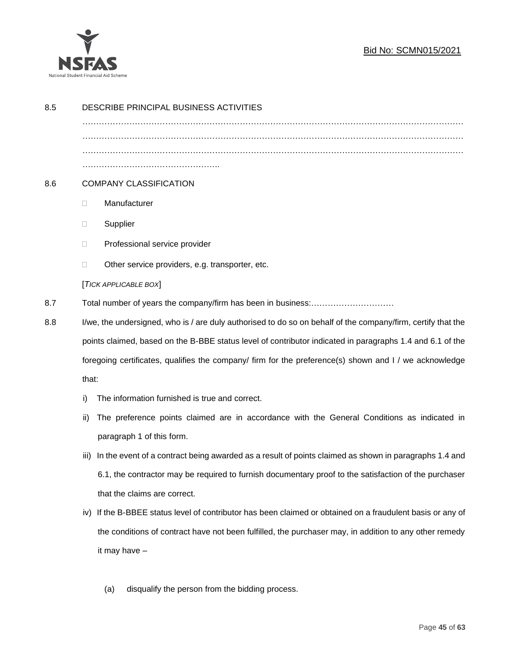

## Bid No: SCMN015/2021

| 8.5 | DESCRIBE PRINCIPAL BUSINESS ACTIVITIES                                                                       |                                                                                                            |  |
|-----|--------------------------------------------------------------------------------------------------------------|------------------------------------------------------------------------------------------------------------|--|
|     |                                                                                                              |                                                                                                            |  |
|     |                                                                                                              |                                                                                                            |  |
|     |                                                                                                              |                                                                                                            |  |
|     |                                                                                                              |                                                                                                            |  |
| 8.6 | <b>COMPANY CLASSIFICATION</b>                                                                                |                                                                                                            |  |
|     | $\Box$                                                                                                       | Manufacturer                                                                                               |  |
|     | $\Box$                                                                                                       | Supplier                                                                                                   |  |
|     | $\Box$                                                                                                       | Professional service provider                                                                              |  |
|     | $\Box$                                                                                                       | Other service providers, e.g. transporter, etc.                                                            |  |
|     |                                                                                                              | [TICK APPLICABLE BOX]                                                                                      |  |
| 8.7 |                                                                                                              |                                                                                                            |  |
| 8.8 | I/we, the undersigned, who is / are duly authorised to do so on behalf of the company/firm, certify that the |                                                                                                            |  |
|     | points claimed, based on the B-BBE status level of contributor indicated in paragraphs 1.4 and 6.1 of the    |                                                                                                            |  |
|     | foregoing certificates, qualifies the company/ firm for the preference(s) shown and I / we acknowledge       |                                                                                                            |  |
|     | that:                                                                                                        |                                                                                                            |  |
|     | i)                                                                                                           | The information furnished is true and correct.                                                             |  |
|     | ii)                                                                                                          | The preference points claimed are in accordance with the General Conditions as indicated in                |  |
|     |                                                                                                              | paragraph 1 of this form.                                                                                  |  |
|     | iii)                                                                                                         | In the event of a contract being awarded as a result of points claimed as shown in paragraphs 1.4 and      |  |
|     |                                                                                                              | 6.1, the contractor may be required to furnish documentary proof to the satisfaction of the purchaser      |  |
|     |                                                                                                              | that the claims are correct.                                                                               |  |
|     |                                                                                                              | iv) If the B-BBEE status level of contributor has been claimed or obtained on a fraudulent basis or any of |  |
|     |                                                                                                              | the conditions of contract have not been fulfilled, the purchaser may, in addition to any other remedy     |  |
|     |                                                                                                              | it may have -                                                                                              |  |
|     |                                                                                                              |                                                                                                            |  |
|     |                                                                                                              | disqualify the person from the bidding process.<br>(a)                                                     |  |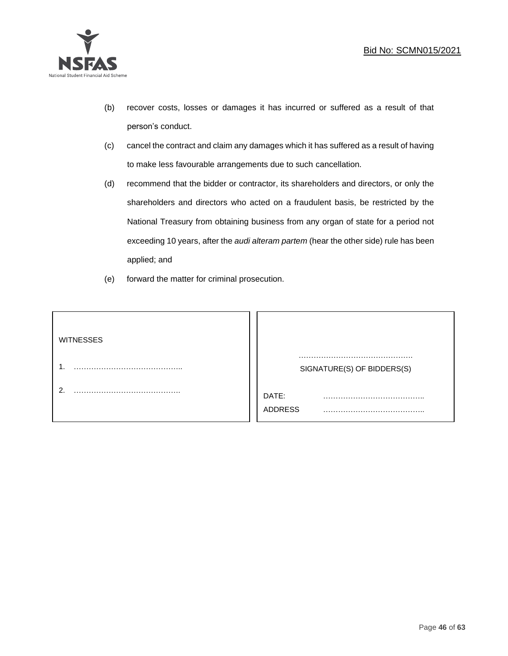

- (b) recover costs, losses or damages it has incurred or suffered as a result of that person's conduct.
- (c) cancel the contract and claim any damages which it has suffered as a result of having to make less favourable arrangements due to such cancellation.
- (d) recommend that the bidder or contractor, its shareholders and directors, or only the shareholders and directors who acted on a fraudulent basis, be restricted by the National Treasury from obtaining business from any organ of state for a period not exceeding 10 years, after the *audi alteram partem* (hear the other side) rule has been applied; and
- (e) forward the matter for criminal prosecution.

| <b>WITNESSES</b> |                              |
|------------------|------------------------------|
|                  | SIGNATURE(S) OF BIDDERS(S)   |
|                  | DATE:<br>.<br><b>ADDRESS</b> |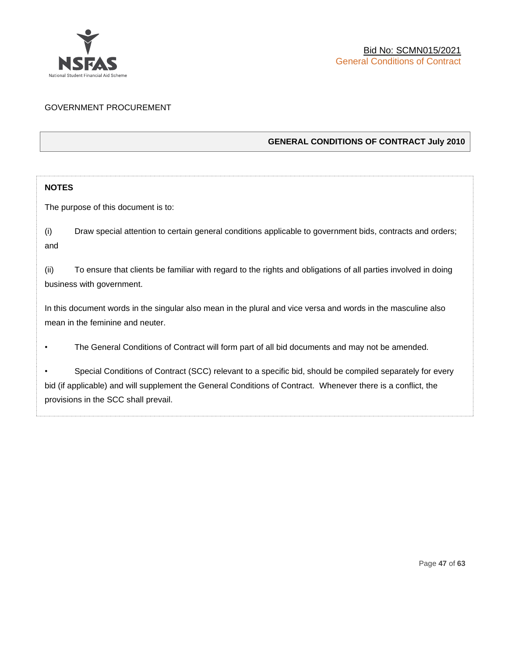

## GOVERNMENT PROCUREMENT

## **GENERAL CONDITIONS OF CONTRACT July 2010**

## **NOTES**

The purpose of this document is to:

(i) Draw special attention to certain general conditions applicable to government bids, contracts and orders; and

(ii) To ensure that clients be familiar with regard to the rights and obligations of all parties involved in doing business with government.

In this document words in the singular also mean in the plural and vice versa and words in the masculine also mean in the feminine and neuter.

• The General Conditions of Contract will form part of all bid documents and may not be amended.

Special Conditions of Contract (SCC) relevant to a specific bid, should be compiled separately for every bid (if applicable) and will supplement the General Conditions of Contract. Whenever there is a conflict, the provisions in the SCC shall prevail.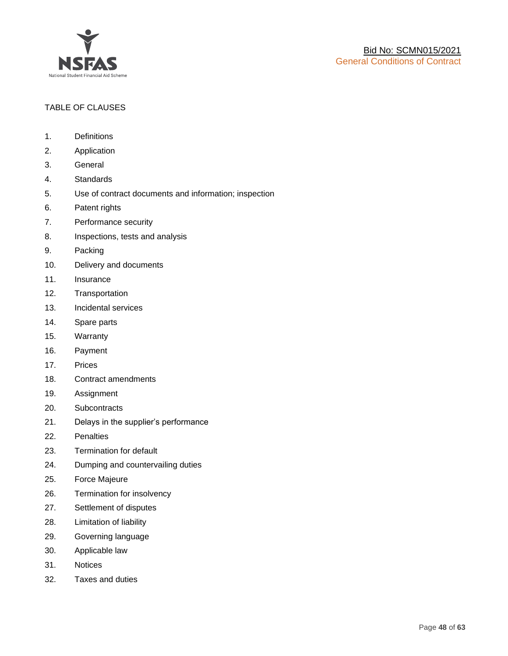

## TABLE OF CLAUSES

- 1. Definitions
- 2. Application
- 3. General
- 4. Standards
- 5. Use of contract documents and information; inspection
- 6. Patent rights
- 7. Performance security
- 8. Inspections, tests and analysis
- 9. Packing
- 10. Delivery and documents
- 11. Insurance
- 12. Transportation
- 13. Incidental services
- 14. Spare parts
- 15. Warranty
- 16. Payment
- 17. Prices
- 18. Contract amendments
- 19. Assignment
- 20. Subcontracts
- 21. Delays in the supplier's performance
- 22. Penalties
- 23. Termination for default
- 24. Dumping and countervailing duties
- 25. Force Majeure
- 26. Termination for insolvency
- 27. Settlement of disputes
- 28. Limitation of liability
- 29. Governing language
- 30. Applicable law
- 31. Notices
- 32. Taxes and duties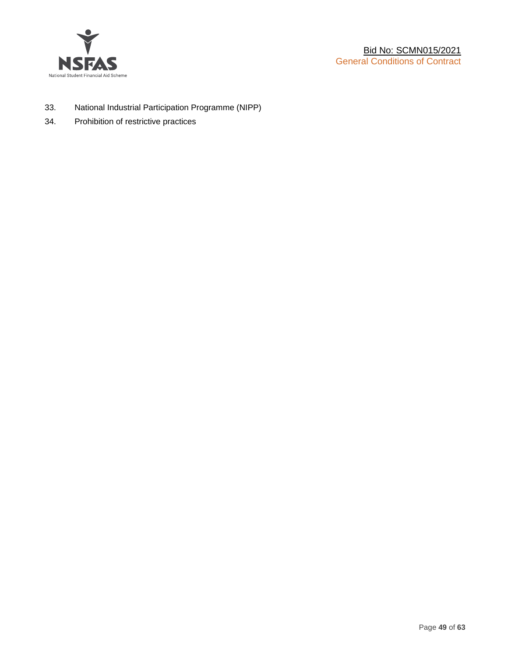

- 33. National Industrial Participation Programme (NIPP)
- 34. Prohibition of restrictive practices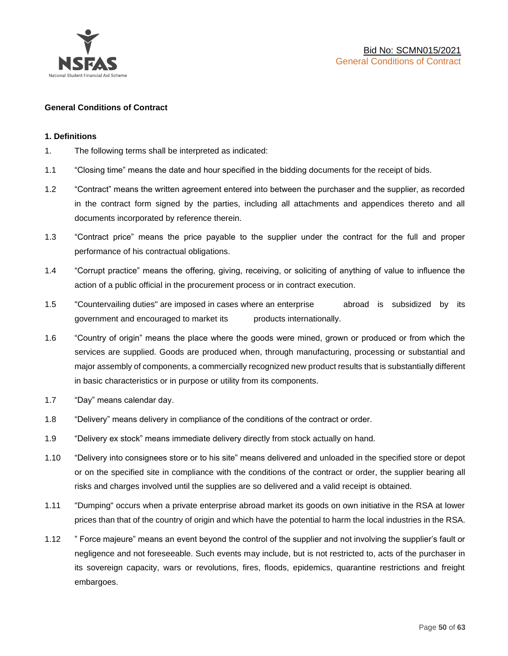

#### **General Conditions of Contract**

#### **1. Definitions**

- 1. The following terms shall be interpreted as indicated:
- 1.1 "Closing time" means the date and hour specified in the bidding documents for the receipt of bids.
- 1.2 "Contract" means the written agreement entered into between the purchaser and the supplier, as recorded in the contract form signed by the parties, including all attachments and appendices thereto and all documents incorporated by reference therein.
- 1.3 "Contract price" means the price payable to the supplier under the contract for the full and proper performance of his contractual obligations.
- 1.4 "Corrupt practice" means the offering, giving, receiving, or soliciting of anything of value to influence the action of a public official in the procurement process or in contract execution.
- 1.5 "Countervailing duties" are imposed in cases where an enterprise abroad is subsidized by its government and encouraged to market its products internationally.
- 1.6 "Country of origin" means the place where the goods were mined, grown or produced or from which the services are supplied. Goods are produced when, through manufacturing, processing or substantial and major assembly of components, a commercially recognized new product results that is substantially different in basic characteristics or in purpose or utility from its components.
- 1.7 "Day" means calendar day.
- 1.8 "Delivery" means delivery in compliance of the conditions of the contract or order.
- 1.9 "Delivery ex stock" means immediate delivery directly from stock actually on hand.
- 1.10 "Delivery into consignees store or to his site" means delivered and unloaded in the specified store or depot or on the specified site in compliance with the conditions of the contract or order, the supplier bearing all risks and charges involved until the supplies are so delivered and a valid receipt is obtained.
- 1.11 "Dumping" occurs when a private enterprise abroad market its goods on own initiative in the RSA at lower prices than that of the country of origin and which have the potential to harm the local industries in the RSA.
- 1.12 " Force majeure" means an event beyond the control of the supplier and not involving the supplier's fault or negligence and not foreseeable. Such events may include, but is not restricted to, acts of the purchaser in its sovereign capacity, wars or revolutions, fires, floods, epidemics, quarantine restrictions and freight embargoes.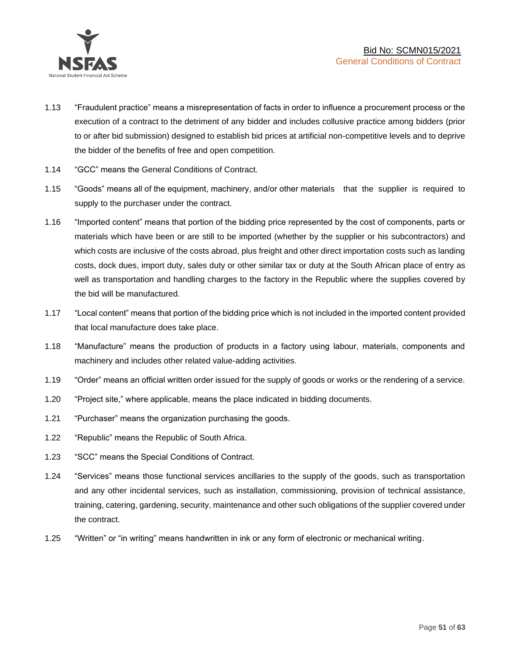

- 1.13 "Fraudulent practice" means a misrepresentation of facts in order to influence a procurement process or the execution of a contract to the detriment of any bidder and includes collusive practice among bidders (prior to or after bid submission) designed to establish bid prices at artificial non-competitive levels and to deprive the bidder of the benefits of free and open competition.
- 1.14 "GCC" means the General Conditions of Contract.
- 1.15 "Goods" means all of the equipment, machinery, and/or other materials that the supplier is required to supply to the purchaser under the contract.
- 1.16 "Imported content" means that portion of the bidding price represented by the cost of components, parts or materials which have been or are still to be imported (whether by the supplier or his subcontractors) and which costs are inclusive of the costs abroad, plus freight and other direct importation costs such as landing costs, dock dues, import duty, sales duty or other similar tax or duty at the South African place of entry as well as transportation and handling charges to the factory in the Republic where the supplies covered by the bid will be manufactured.
- 1.17 "Local content" means that portion of the bidding price which is not included in the imported content provided that local manufacture does take place.
- 1.18 "Manufacture" means the production of products in a factory using labour, materials, components and machinery and includes other related value-adding activities.
- 1.19 "Order" means an official written order issued for the supply of goods or works or the rendering of a service.
- 1.20 "Project site," where applicable, means the place indicated in bidding documents.
- 1.21 "Purchaser" means the organization purchasing the goods.
- 1.22 "Republic" means the Republic of South Africa.
- 1.23 "SCC" means the Special Conditions of Contract.
- 1.24 "Services" means those functional services ancillaries to the supply of the goods, such as transportation and any other incidental services, such as installation, commissioning, provision of technical assistance, training, catering, gardening, security, maintenance and other such obligations of the supplier covered under the contract.
- 1.25 "Written" or "in writing" means handwritten in ink or any form of electronic or mechanical writing.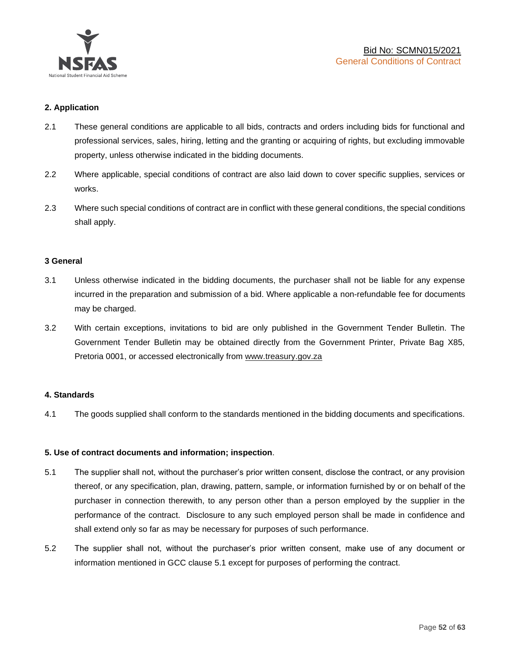

## **2. Application**

- 2.1 These general conditions are applicable to all bids, contracts and orders including bids for functional and professional services, sales, hiring, letting and the granting or acquiring of rights, but excluding immovable property, unless otherwise indicated in the bidding documents.
- 2.2 Where applicable, special conditions of contract are also laid down to cover specific supplies, services or works.
- 2.3 Where such special conditions of contract are in conflict with these general conditions, the special conditions shall apply.

#### **3 General**

- 3.1 Unless otherwise indicated in the bidding documents, the purchaser shall not be liable for any expense incurred in the preparation and submission of a bid. Where applicable a non-refundable fee for documents may be charged.
- 3.2 With certain exceptions, invitations to bid are only published in the Government Tender Bulletin. The Government Tender Bulletin may be obtained directly from the Government Printer, Private Bag X85, Pretoria 0001, or accessed electronically from [www.treasury.gov.za](http://www.treasury.gov.za/)

#### **4. Standards**

4.1 The goods supplied shall conform to the standards mentioned in the bidding documents and specifications.

#### **5. Use of contract documents and information; inspection**.

- 5.1 The supplier shall not, without the purchaser's prior written consent, disclose the contract, or any provision thereof, or any specification, plan, drawing, pattern, sample, or information furnished by or on behalf of the purchaser in connection therewith, to any person other than a person employed by the supplier in the performance of the contract. Disclosure to any such employed person shall be made in confidence and shall extend only so far as may be necessary for purposes of such performance.
- 5.2 The supplier shall not, without the purchaser's prior written consent, make use of any document or information mentioned in GCC clause 5.1 except for purposes of performing the contract.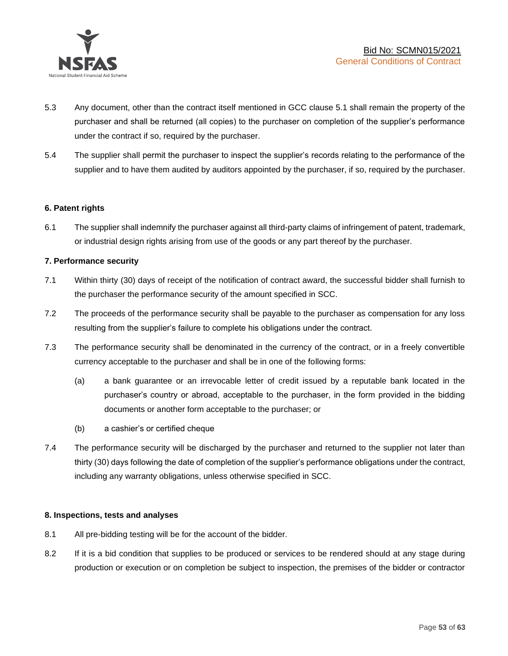

- 5.3 Any document, other than the contract itself mentioned in GCC clause 5.1 shall remain the property of the purchaser and shall be returned (all copies) to the purchaser on completion of the supplier's performance under the contract if so, required by the purchaser.
- 5.4 The supplier shall permit the purchaser to inspect the supplier's records relating to the performance of the supplier and to have them audited by auditors appointed by the purchaser, if so, required by the purchaser.

## **6. Patent rights**

6.1 The supplier shall indemnify the purchaser against all third-party claims of infringement of patent, trademark, or industrial design rights arising from use of the goods or any part thereof by the purchaser.

## **7. Performance security**

- 7.1 Within thirty (30) days of receipt of the notification of contract award, the successful bidder shall furnish to the purchaser the performance security of the amount specified in SCC.
- 7.2 The proceeds of the performance security shall be payable to the purchaser as compensation for any loss resulting from the supplier's failure to complete his obligations under the contract.
- 7.3 The performance security shall be denominated in the currency of the contract, or in a freely convertible currency acceptable to the purchaser and shall be in one of the following forms:
	- (a) a bank guarantee or an irrevocable letter of credit issued by a reputable bank located in the purchaser's country or abroad, acceptable to the purchaser, in the form provided in the bidding documents or another form acceptable to the purchaser; or
	- (b) a cashier's or certified cheque
- 7.4 The performance security will be discharged by the purchaser and returned to the supplier not later than thirty (30) days following the date of completion of the supplier's performance obligations under the contract, including any warranty obligations, unless otherwise specified in SCC.

#### **8. Inspections, tests and analyses**

- 8.1 All pre-bidding testing will be for the account of the bidder.
- 8.2 If it is a bid condition that supplies to be produced or services to be rendered should at any stage during production or execution or on completion be subject to inspection, the premises of the bidder or contractor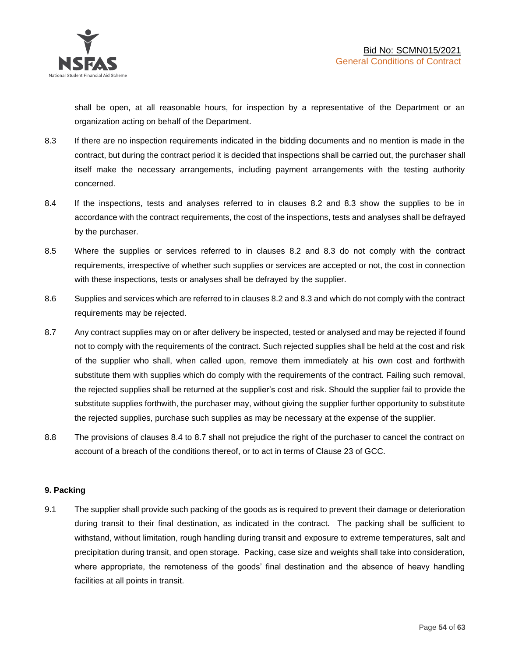shall be open, at all reasonable hours, for inspection by a representative of the Department or an organization acting on behalf of the Department.

- 8.3 If there are no inspection requirements indicated in the bidding documents and no mention is made in the contract, but during the contract period it is decided that inspections shall be carried out, the purchaser shall itself make the necessary arrangements, including payment arrangements with the testing authority concerned.
- 8.4 If the inspections, tests and analyses referred to in clauses 8.2 and 8.3 show the supplies to be in accordance with the contract requirements, the cost of the inspections, tests and analyses shall be defrayed by the purchaser.
- 8.5 Where the supplies or services referred to in clauses 8.2 and 8.3 do not comply with the contract requirements, irrespective of whether such supplies or services are accepted or not, the cost in connection with these inspections, tests or analyses shall be defrayed by the supplier.
- 8.6 Supplies and services which are referred to in clauses 8.2 and 8.3 and which do not comply with the contract requirements may be rejected.
- 8.7 Any contract supplies may on or after delivery be inspected, tested or analysed and may be rejected if found not to comply with the requirements of the contract. Such rejected supplies shall be held at the cost and risk of the supplier who shall, when called upon, remove them immediately at his own cost and forthwith substitute them with supplies which do comply with the requirements of the contract. Failing such removal, the rejected supplies shall be returned at the supplier's cost and risk. Should the supplier fail to provide the substitute supplies forthwith, the purchaser may, without giving the supplier further opportunity to substitute the rejected supplies, purchase such supplies as may be necessary at the expense of the supplier.
- 8.8 The provisions of clauses 8.4 to 8.7 shall not prejudice the right of the purchaser to cancel the contract on account of a breach of the conditions thereof, or to act in terms of Clause 23 of GCC.

## **9. Packing**

9.1 The supplier shall provide such packing of the goods as is required to prevent their damage or deterioration during transit to their final destination, as indicated in the contract. The packing shall be sufficient to withstand, without limitation, rough handling during transit and exposure to extreme temperatures, salt and precipitation during transit, and open storage. Packing, case size and weights shall take into consideration, where appropriate, the remoteness of the goods' final destination and the absence of heavy handling facilities at all points in transit.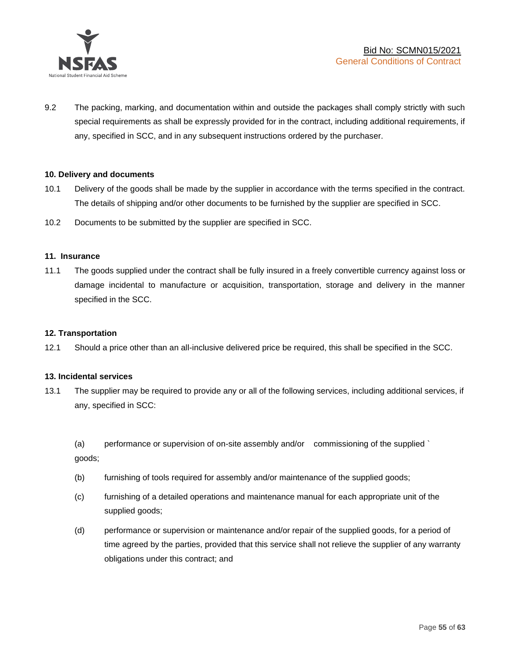

9.2 The packing, marking, and documentation within and outside the packages shall comply strictly with such special requirements as shall be expressly provided for in the contract, including additional requirements, if any, specified in SCC, and in any subsequent instructions ordered by the purchaser.

#### **10. Delivery and documents**

- 10.1 Delivery of the goods shall be made by the supplier in accordance with the terms specified in the contract. The details of shipping and/or other documents to be furnished by the supplier are specified in SCC.
- 10.2 Documents to be submitted by the supplier are specified in SCC.

#### **11. Insurance**

11.1 The goods supplied under the contract shall be fully insured in a freely convertible currency against loss or damage incidental to manufacture or acquisition, transportation, storage and delivery in the manner specified in the SCC.

#### **12. Transportation**

12.1 Should a price other than an all-inclusive delivered price be required, this shall be specified in the SCC.

#### **13. Incidental services**

13.1 The supplier may be required to provide any or all of the following services, including additional services, if any, specified in SCC:

(a) performance or supervision of on-site assembly and/or commissioning of the supplied ` goods;

- (b) furnishing of tools required for assembly and/or maintenance of the supplied goods;
- (c) furnishing of a detailed operations and maintenance manual for each appropriate unit of the supplied goods;
- (d) performance or supervision or maintenance and/or repair of the supplied goods, for a period of time agreed by the parties, provided that this service shall not relieve the supplier of any warranty obligations under this contract; and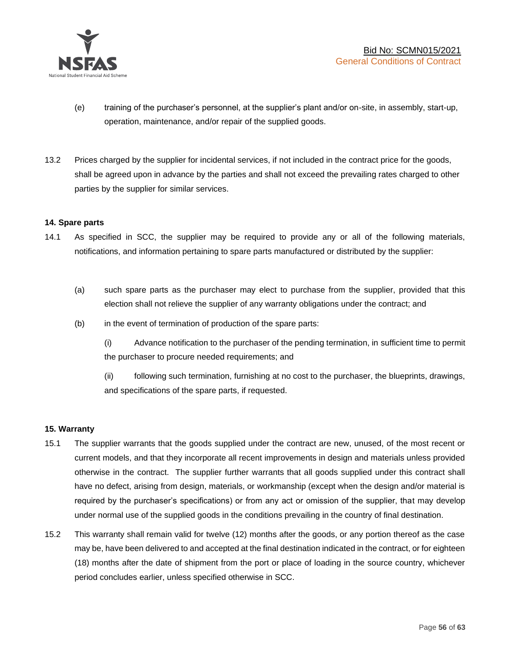

- (e) training of the purchaser's personnel, at the supplier's plant and/or on-site, in assembly, start-up, operation, maintenance, and/or repair of the supplied goods.
- 13.2 Prices charged by the supplier for incidental services, if not included in the contract price for the goods, shall be agreed upon in advance by the parties and shall not exceed the prevailing rates charged to other parties by the supplier for similar services.

## **14. Spare parts**

- 14.1 As specified in SCC, the supplier may be required to provide any or all of the following materials, notifications, and information pertaining to spare parts manufactured or distributed by the supplier:
	- (a) such spare parts as the purchaser may elect to purchase from the supplier, provided that this election shall not relieve the supplier of any warranty obligations under the contract; and
	- (b) in the event of termination of production of the spare parts:

(i) Advance notification to the purchaser of the pending termination, in sufficient time to permit the purchaser to procure needed requirements; and

(ii) following such termination, furnishing at no cost to the purchaser, the blueprints, drawings, and specifications of the spare parts, if requested.

#### **15. Warranty**

- 15.1 The supplier warrants that the goods supplied under the contract are new, unused, of the most recent or current models, and that they incorporate all recent improvements in design and materials unless provided otherwise in the contract. The supplier further warrants that all goods supplied under this contract shall have no defect, arising from design, materials, or workmanship (except when the design and/or material is required by the purchaser's specifications) or from any act or omission of the supplier, that may develop under normal use of the supplied goods in the conditions prevailing in the country of final destination.
- 15.2 This warranty shall remain valid for twelve (12) months after the goods, or any portion thereof as the case may be, have been delivered to and accepted at the final destination indicated in the contract, or for eighteen (18) months after the date of shipment from the port or place of loading in the source country, whichever period concludes earlier, unless specified otherwise in SCC.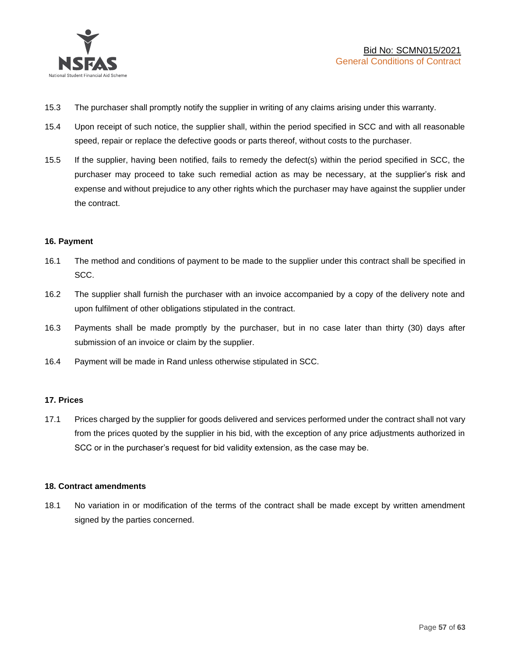

- 15.3 The purchaser shall promptly notify the supplier in writing of any claims arising under this warranty.
- 15.4 Upon receipt of such notice, the supplier shall, within the period specified in SCC and with all reasonable speed, repair or replace the defective goods or parts thereof, without costs to the purchaser.
- 15.5 If the supplier, having been notified, fails to remedy the defect(s) within the period specified in SCC, the purchaser may proceed to take such remedial action as may be necessary, at the supplier's risk and expense and without prejudice to any other rights which the purchaser may have against the supplier under the contract.

## **16. Payment**

- 16.1 The method and conditions of payment to be made to the supplier under this contract shall be specified in SCC.
- 16.2 The supplier shall furnish the purchaser with an invoice accompanied by a copy of the delivery note and upon fulfilment of other obligations stipulated in the contract.
- 16.3 Payments shall be made promptly by the purchaser, but in no case later than thirty (30) days after submission of an invoice or claim by the supplier.
- 16.4 Payment will be made in Rand unless otherwise stipulated in SCC.

#### **17. Prices**

17.1 Prices charged by the supplier for goods delivered and services performed under the contract shall not vary from the prices quoted by the supplier in his bid, with the exception of any price adjustments authorized in SCC or in the purchaser's request for bid validity extension, as the case may be.

#### **18. Contract amendments**

18.1 No variation in or modification of the terms of the contract shall be made except by written amendment signed by the parties concerned.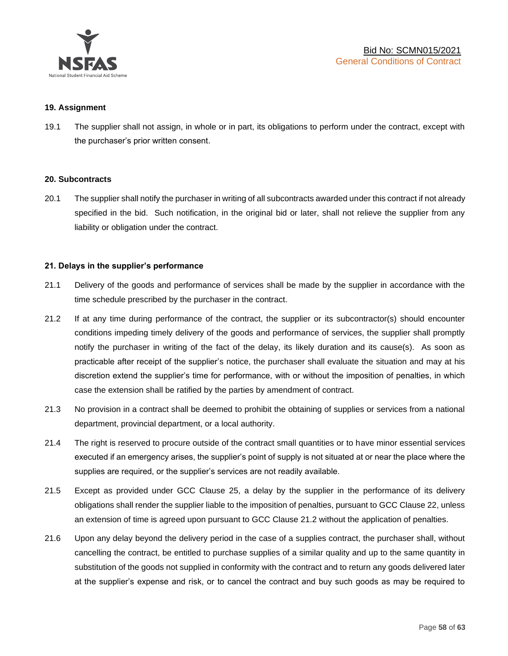

#### **19. Assignment**

19.1 The supplier shall not assign, in whole or in part, its obligations to perform under the contract, except with the purchaser's prior written consent.

#### **20. Subcontracts**

20.1 The supplier shall notify the purchaser in writing of all subcontracts awarded under this contract if not already specified in the bid. Such notification, in the original bid or later, shall not relieve the supplier from any liability or obligation under the contract.

#### **21. Delays in the supplier's performance**

- 21.1 Delivery of the goods and performance of services shall be made by the supplier in accordance with the time schedule prescribed by the purchaser in the contract.
- 21.2 If at any time during performance of the contract, the supplier or its subcontractor(s) should encounter conditions impeding timely delivery of the goods and performance of services, the supplier shall promptly notify the purchaser in writing of the fact of the delay, its likely duration and its cause(s). As soon as practicable after receipt of the supplier's notice, the purchaser shall evaluate the situation and may at his discretion extend the supplier's time for performance, with or without the imposition of penalties, in which case the extension shall be ratified by the parties by amendment of contract.
- 21.3 No provision in a contract shall be deemed to prohibit the obtaining of supplies or services from a national department, provincial department, or a local authority.
- 21.4 The right is reserved to procure outside of the contract small quantities or to have minor essential services executed if an emergency arises, the supplier's point of supply is not situated at or near the place where the supplies are required, or the supplier's services are not readily available.
- 21.5 Except as provided under GCC Clause 25, a delay by the supplier in the performance of its delivery obligations shall render the supplier liable to the imposition of penalties, pursuant to GCC Clause 22, unless an extension of time is agreed upon pursuant to GCC Clause 21.2 without the application of penalties.
- 21.6 Upon any delay beyond the delivery period in the case of a supplies contract, the purchaser shall, without cancelling the contract, be entitled to purchase supplies of a similar quality and up to the same quantity in substitution of the goods not supplied in conformity with the contract and to return any goods delivered later at the supplier's expense and risk, or to cancel the contract and buy such goods as may be required to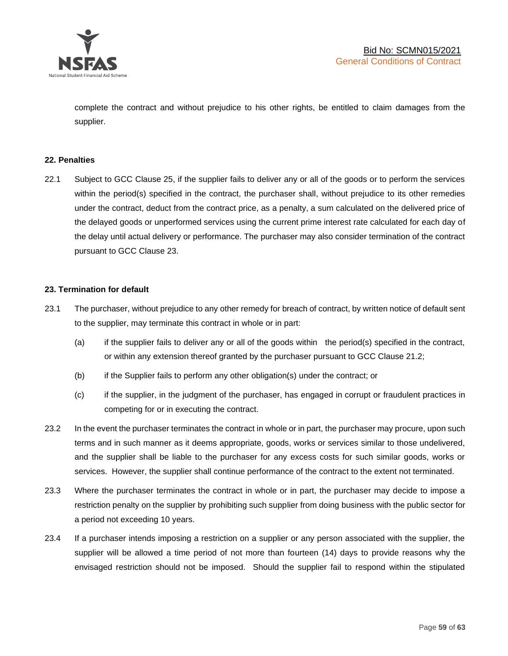

complete the contract and without prejudice to his other rights, be entitled to claim damages from the supplier.

#### **22. Penalties**

22.1 Subject to GCC Clause 25, if the supplier fails to deliver any or all of the goods or to perform the services within the period(s) specified in the contract, the purchaser shall, without prejudice to its other remedies under the contract, deduct from the contract price, as a penalty, a sum calculated on the delivered price of the delayed goods or unperformed services using the current prime interest rate calculated for each day of the delay until actual delivery or performance. The purchaser may also consider termination of the contract pursuant to GCC Clause 23.

## **23. Termination for default**

- 23.1 The purchaser, without prejudice to any other remedy for breach of contract, by written notice of default sent to the supplier, may terminate this contract in whole or in part:
	- (a) if the supplier fails to deliver any or all of the goods within the period(s) specified in the contract, or within any extension thereof granted by the purchaser pursuant to GCC Clause 21.2;
	- (b) if the Supplier fails to perform any other obligation(s) under the contract; or
	- (c) if the supplier, in the judgment of the purchaser, has engaged in corrupt or fraudulent practices in competing for or in executing the contract.
- 23.2 In the event the purchaser terminates the contract in whole or in part, the purchaser may procure, upon such terms and in such manner as it deems appropriate, goods, works or services similar to those undelivered, and the supplier shall be liable to the purchaser for any excess costs for such similar goods, works or services. However, the supplier shall continue performance of the contract to the extent not terminated.
- 23.3 Where the purchaser terminates the contract in whole or in part, the purchaser may decide to impose a restriction penalty on the supplier by prohibiting such supplier from doing business with the public sector for a period not exceeding 10 years.
- 23.4 If a purchaser intends imposing a restriction on a supplier or any person associated with the supplier, the supplier will be allowed a time period of not more than fourteen (14) days to provide reasons why the envisaged restriction should not be imposed. Should the supplier fail to respond within the stipulated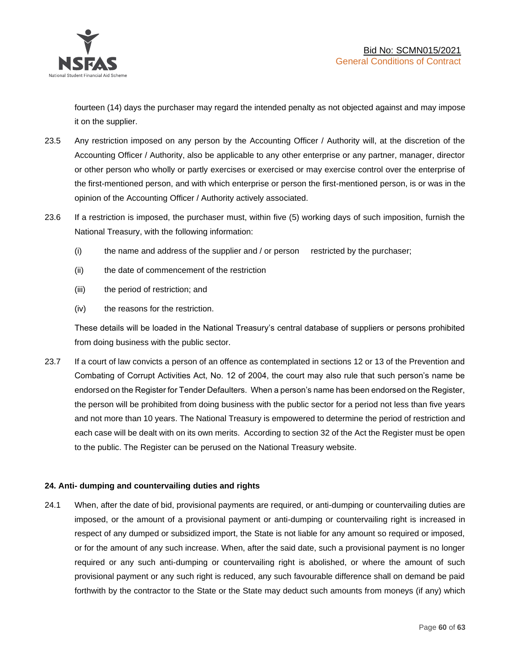

fourteen (14) days the purchaser may regard the intended penalty as not objected against and may impose it on the supplier.

- 23.5 Any restriction imposed on any person by the Accounting Officer / Authority will, at the discretion of the Accounting Officer / Authority, also be applicable to any other enterprise or any partner, manager, director or other person who wholly or partly exercises or exercised or may exercise control over the enterprise of the first-mentioned person, and with which enterprise or person the first-mentioned person, is or was in the opinion of the Accounting Officer / Authority actively associated.
- 23.6 If a restriction is imposed, the purchaser must, within five (5) working days of such imposition, furnish the National Treasury, with the following information:
	- (i) the name and address of the supplier and / or person restricted by the purchaser;
	- (ii) the date of commencement of the restriction
	- (iii) the period of restriction; and
	- (iv) the reasons for the restriction.

These details will be loaded in the National Treasury's central database of suppliers or persons prohibited from doing business with the public sector.

23.7 If a court of law convicts a person of an offence as contemplated in sections 12 or 13 of the Prevention and Combating of Corrupt Activities Act, No. 12 of 2004, the court may also rule that such person's name be endorsed on the Register for Tender Defaulters. When a person's name has been endorsed on the Register, the person will be prohibited from doing business with the public sector for a period not less than five years and not more than 10 years. The National Treasury is empowered to determine the period of restriction and each case will be dealt with on its own merits. According to section 32 of the Act the Register must be open to the public. The Register can be perused on the National Treasury website.

## **24. Anti- dumping and countervailing duties and rights**

24.1 When, after the date of bid, provisional payments are required, or anti-dumping or countervailing duties are imposed, or the amount of a provisional payment or anti-dumping or countervailing right is increased in respect of any dumped or subsidized import, the State is not liable for any amount so required or imposed, or for the amount of any such increase. When, after the said date, such a provisional payment is no longer required or any such anti-dumping or countervailing right is abolished, or where the amount of such provisional payment or any such right is reduced, any such favourable difference shall on demand be paid forthwith by the contractor to the State or the State may deduct such amounts from moneys (if any) which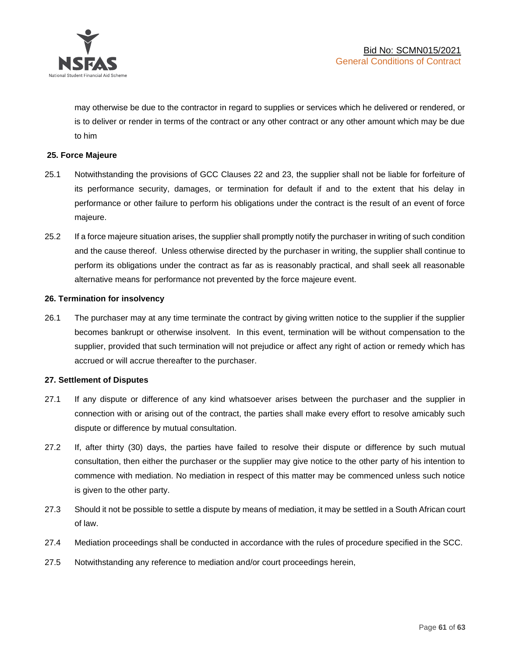

may otherwise be due to the contractor in regard to supplies or services which he delivered or rendered, or is to deliver or render in terms of the contract or any other contract or any other amount which may be due to him

## **25. Force Majeure**

- 25.1 Notwithstanding the provisions of GCC Clauses 22 and 23, the supplier shall not be liable for forfeiture of its performance security, damages, or termination for default if and to the extent that his delay in performance or other failure to perform his obligations under the contract is the result of an event of force majeure.
- 25.2 If a force majeure situation arises, the supplier shall promptly notify the purchaser in writing of such condition and the cause thereof. Unless otherwise directed by the purchaser in writing, the supplier shall continue to perform its obligations under the contract as far as is reasonably practical, and shall seek all reasonable alternative means for performance not prevented by the force majeure event.

#### **26. Termination for insolvency**

26.1 The purchaser may at any time terminate the contract by giving written notice to the supplier if the supplier becomes bankrupt or otherwise insolvent. In this event, termination will be without compensation to the supplier, provided that such termination will not prejudice or affect any right of action or remedy which has accrued or will accrue thereafter to the purchaser.

#### **27. Settlement of Disputes**

- 27.1 If any dispute or difference of any kind whatsoever arises between the purchaser and the supplier in connection with or arising out of the contract, the parties shall make every effort to resolve amicably such dispute or difference by mutual consultation.
- 27.2 If, after thirty (30) days, the parties have failed to resolve their dispute or difference by such mutual consultation, then either the purchaser or the supplier may give notice to the other party of his intention to commence with mediation. No mediation in respect of this matter may be commenced unless such notice is given to the other party.
- 27.3 Should it not be possible to settle a dispute by means of mediation, it may be settled in a South African court of law.
- 27.4 Mediation proceedings shall be conducted in accordance with the rules of procedure specified in the SCC.
- 27.5 Notwithstanding any reference to mediation and/or court proceedings herein,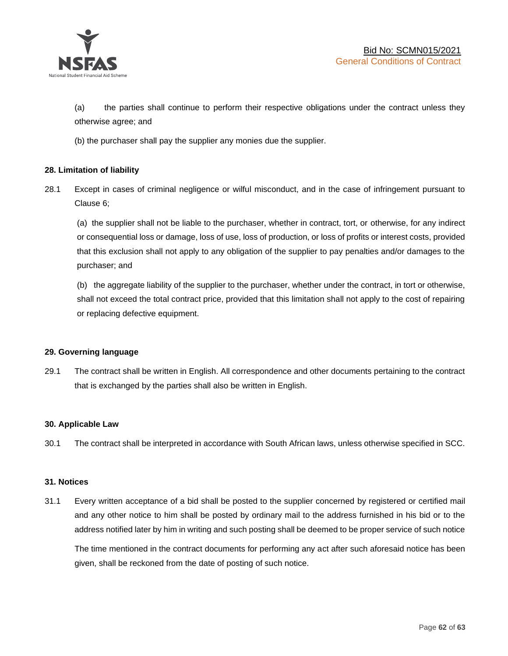

(a) the parties shall continue to perform their respective obligations under the contract unless they otherwise agree; and

(b) the purchaser shall pay the supplier any monies due the supplier.

## **28. Limitation of liability**

28.1 Except in cases of criminal negligence or wilful misconduct, and in the case of infringement pursuant to Clause 6;

(a) the supplier shall not be liable to the purchaser, whether in contract, tort, or otherwise, for any indirect or consequential loss or damage, loss of use, loss of production, or loss of profits or interest costs, provided that this exclusion shall not apply to any obligation of the supplier to pay penalties and/or damages to the purchaser; and

(b) the aggregate liability of the supplier to the purchaser, whether under the contract, in tort or otherwise, shall not exceed the total contract price, provided that this limitation shall not apply to the cost of repairing or replacing defective equipment.

#### **29. Governing language**

29.1 The contract shall be written in English. All correspondence and other documents pertaining to the contract that is exchanged by the parties shall also be written in English.

#### **30. Applicable Law**

30.1 The contract shall be interpreted in accordance with South African laws, unless otherwise specified in SCC.

#### **31. Notices**

31.1 Every written acceptance of a bid shall be posted to the supplier concerned by registered or certified mail and any other notice to him shall be posted by ordinary mail to the address furnished in his bid or to the address notified later by him in writing and such posting shall be deemed to be proper service of such notice

The time mentioned in the contract documents for performing any act after such aforesaid notice has been given, shall be reckoned from the date of posting of such notice.